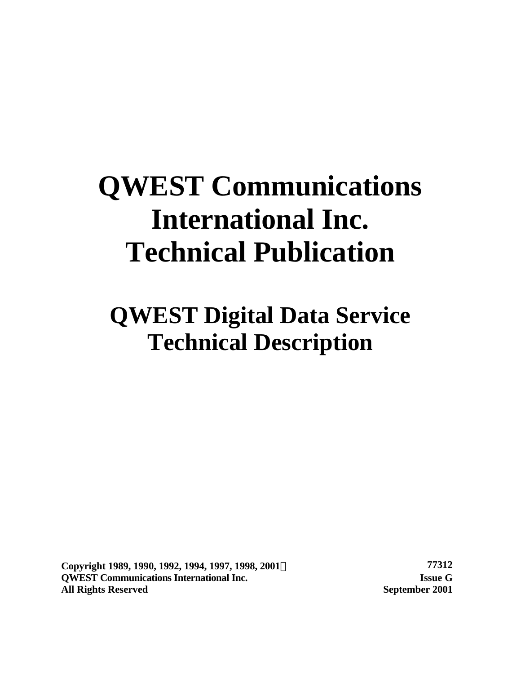# **QWEST Communications International Inc. Technical Publication**

# **QWEST Digital Data Service Technical Description**

**Copyright 1989, 1990, 1992, 1994, 1997, 1998, 2001Ó 77312 QWEST Communications International Inc. Issue G All Rights Reserved September 2001**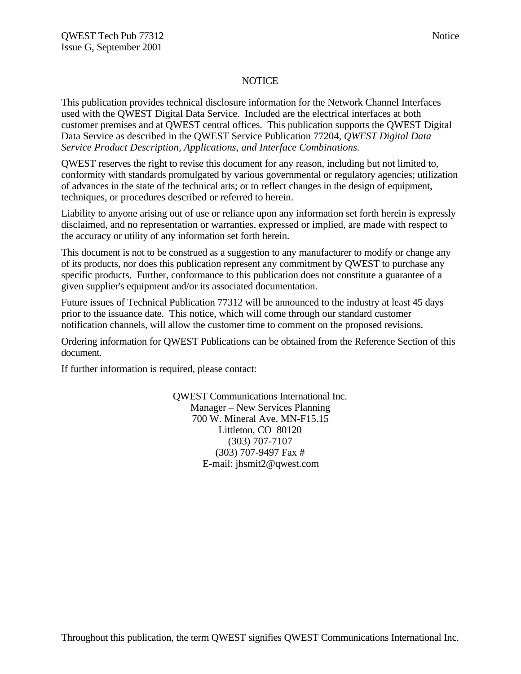### **NOTICE**

This publication provides technical disclosure information for the Network Channel Interfaces used with the QWEST Digital Data Service. Included are the electrical interfaces at both customer premises and at QWEST central offices. This publication supports the QWEST Digital Data Service as described in the QWEST Service Publication 77204, *QWEST Digital Data Service Product Description, Applications, and Interface Combinations.*

QWEST reserves the right to revise this document for any reason, including but not limited to, conformity with standards promulgated by various governmental or regulatory agencies; utilization of advances in the state of the technical arts; or to reflect changes in the design of equipment, techniques, or procedures described or referred to herein.

Liability to anyone arising out of use or reliance upon any information set forth herein is expressly disclaimed, and no representation or warranties, expressed or implied, are made with respect to the accuracy or utility of any information set forth herein.

This document is not to be construed as a suggestion to any manufacturer to modify or change any of its products, nor does this publication represent any commitment by QWEST to purchase any specific products. Further, conformance to this publication does not constitute a guarantee of a given supplier's equipment and/or its associated documentation.

Future issues of Technical Publication 77312 will be announced to the industry at least 45 days prior to the issuance date. This notice, which will come through our standard customer notification channels, will allow the customer time to comment on the proposed revisions.

Ordering information for QWEST Publications can be obtained from the Reference Section of this document.

If further information is required, please contact:

QWEST Communications International Inc. Manager – New Services Planning 700 W. Mineral Ave. MN-F15.15 Littleton, CO 80120 (303) 707-7107 (303) 707-9497 Fax # E-mail: jhsmit2@qwest.com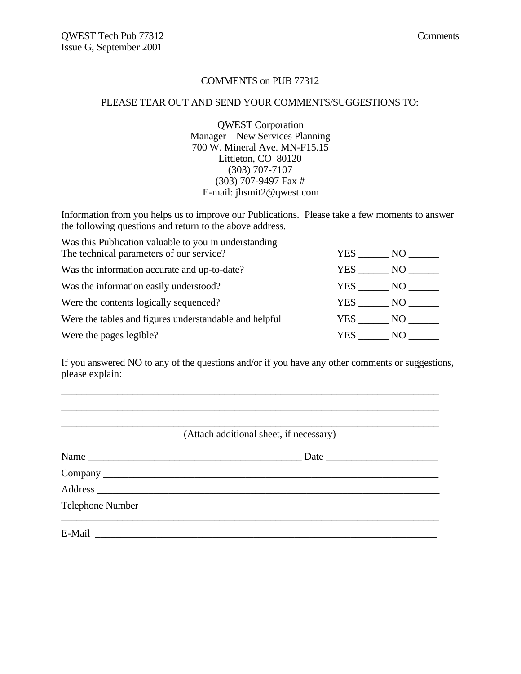## COMMENTS on PUB 77312

#### PLEASE TEAR OUT AND SEND YOUR COMMENTS/SUGGESTIONS TO:

QWEST Corporation Manager – New Services Planning 700 W. Mineral Ave. MN-F15.15 Littleton, CO 80120 (303) 707-7107 (303) 707-9497 Fax # E-mail: jhsmit2@qwest.com

Information from you helps us to improve our Publications. Please take a few moments to answer the following questions and return to the above address.

| Was this Publication valuable to you in understanding  |        |       |
|--------------------------------------------------------|--------|-------|
| The technical parameters of our service?               | YES .  | NO -  |
| Was the information accurate and up-to-date?           | YES .  | NO.   |
| Was the information easily understood?                 | YES    | NO    |
| Were the contents logically sequenced?                 | YES    | NO 11 |
| Were the tables and figures understandable and helpful | YES NO |       |
| Were the pages legible?                                | YES.   | NO.   |

If you answered NO to any of the questions and/or if you have any other comments or suggestions, please explain:

\_\_\_\_\_\_\_\_\_\_\_\_\_\_\_\_\_\_\_\_\_\_\_\_\_\_\_\_\_\_\_\_\_\_\_\_\_\_\_\_\_\_\_\_\_\_\_\_\_\_\_\_\_\_\_\_\_\_\_\_\_\_\_\_\_\_\_\_\_\_\_\_\_\_

| Name<br>Data |
|--------------|
|              |
|              |
|              |
|              |
|              |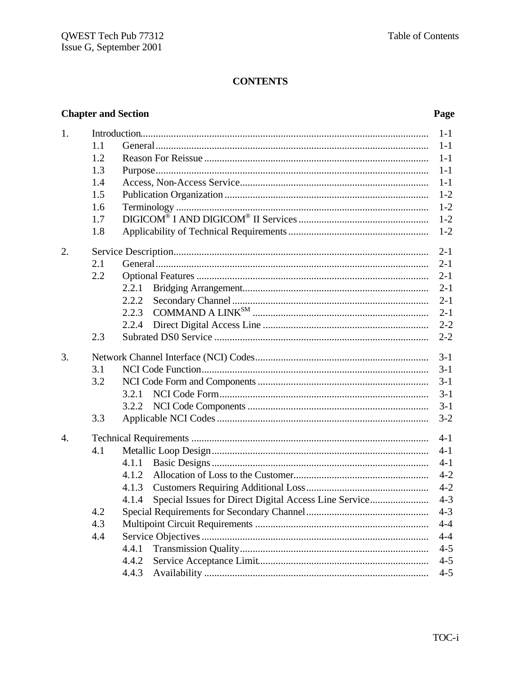# **CONTENTS**

# **Chapter and Section**

# Page

| 1. |     |                                                                                                                                                                                                                                                                                                                                                                                                                                                                                                         | $1 - 1$ |
|----|-----|---------------------------------------------------------------------------------------------------------------------------------------------------------------------------------------------------------------------------------------------------------------------------------------------------------------------------------------------------------------------------------------------------------------------------------------------------------------------------------------------------------|---------|
|    | 1.1 |                                                                                                                                                                                                                                                                                                                                                                                                                                                                                                         | $1-1$   |
|    | 1.2 |                                                                                                                                                                                                                                                                                                                                                                                                                                                                                                         | $1-1$   |
|    | 1.3 |                                                                                                                                                                                                                                                                                                                                                                                                                                                                                                         | $1-1$   |
|    | 1.4 |                                                                                                                                                                                                                                                                                                                                                                                                                                                                                                         | $1-1$   |
|    | 1.5 |                                                                                                                                                                                                                                                                                                                                                                                                                                                                                                         | $1 - 2$ |
|    | 1.6 |                                                                                                                                                                                                                                                                                                                                                                                                                                                                                                         | $1 - 2$ |
|    | 1.7 |                                                                                                                                                                                                                                                                                                                                                                                                                                                                                                         | $1 - 2$ |
|    | 1.8 |                                                                                                                                                                                                                                                                                                                                                                                                                                                                                                         | $1 - 2$ |
| 2. |     |                                                                                                                                                                                                                                                                                                                                                                                                                                                                                                         | $2 - 1$ |
|    | 2.1 |                                                                                                                                                                                                                                                                                                                                                                                                                                                                                                         | $2 - 1$ |
|    | 2.2 |                                                                                                                                                                                                                                                                                                                                                                                                                                                                                                         | $2 - 1$ |
|    |     | 2.2.1                                                                                                                                                                                                                                                                                                                                                                                                                                                                                                   | $2 - 1$ |
|    |     | 2.2.2                                                                                                                                                                                                                                                                                                                                                                                                                                                                                                   | $2 - 1$ |
|    |     | $\begin{minipage}{.4\linewidth} \begin{tabular}{l} \multicolumn{2}{c}{} & \multicolumn{2}{c}{} & \multicolumn{2}{c}{} \\ \multicolumn{2}{c}{} & \multicolumn{2}{c}{} & \multicolumn{2}{c}{} \\ \multicolumn{2}{c}{} & \multicolumn{2}{c}{} & \multicolumn{2}{c}{} \\ \multicolumn{2}{c}{} & \multicolumn{2}{c}{} \\ \multicolumn{2}{c}{} & \multicolumn{2}{c}{} \\ \multicolumn{2}{c}{} & \multicolumn{2}{c}{} \\ \multicolumn{2}{c}{} & \multicolumn{2}{c}{} \\ \multicolumn{2}{c}{} & \mult$<br>2.2.3 | $2 - 1$ |
|    |     | 2.2.4                                                                                                                                                                                                                                                                                                                                                                                                                                                                                                   | $2 - 2$ |
|    | 2.3 |                                                                                                                                                                                                                                                                                                                                                                                                                                                                                                         | $2 - 2$ |
| 3. |     |                                                                                                                                                                                                                                                                                                                                                                                                                                                                                                         | $3 - 1$ |
|    | 3.1 |                                                                                                                                                                                                                                                                                                                                                                                                                                                                                                         | $3 - 1$ |
|    | 3.2 |                                                                                                                                                                                                                                                                                                                                                                                                                                                                                                         | $3-1$   |
|    |     | 3.2.1                                                                                                                                                                                                                                                                                                                                                                                                                                                                                                   | $3-1$   |
|    |     | 3.2.2                                                                                                                                                                                                                                                                                                                                                                                                                                                                                                   | $3-1$   |
|    | 3.3 |                                                                                                                                                                                                                                                                                                                                                                                                                                                                                                         | $3 - 2$ |
| 4. |     |                                                                                                                                                                                                                                                                                                                                                                                                                                                                                                         | $4 - 1$ |
|    | 4.1 |                                                                                                                                                                                                                                                                                                                                                                                                                                                                                                         | $4 - 1$ |
|    |     | 4.1.1                                                                                                                                                                                                                                                                                                                                                                                                                                                                                                   | $4-1$   |
|    |     | 4.1.2                                                                                                                                                                                                                                                                                                                                                                                                                                                                                                   | $4 - 2$ |
|    |     | 4.1.3                                                                                                                                                                                                                                                                                                                                                                                                                                                                                                   | $4 - 2$ |
|    |     | Special Issues for Direct Digital Access Line Service<br>4.1.4                                                                                                                                                                                                                                                                                                                                                                                                                                          | $4 - 3$ |
|    | 4.2 |                                                                                                                                                                                                                                                                                                                                                                                                                                                                                                         | $4 - 3$ |
|    | 4.3 |                                                                                                                                                                                                                                                                                                                                                                                                                                                                                                         | $4 - 4$ |
|    | 4.4 |                                                                                                                                                                                                                                                                                                                                                                                                                                                                                                         | $4 - 4$ |
|    |     | 4.4.1                                                                                                                                                                                                                                                                                                                                                                                                                                                                                                   | $4 - 5$ |
|    |     | 4.4.2                                                                                                                                                                                                                                                                                                                                                                                                                                                                                                   | $4 - 5$ |
|    |     | 4.4.3                                                                                                                                                                                                                                                                                                                                                                                                                                                                                                   | $4 - 5$ |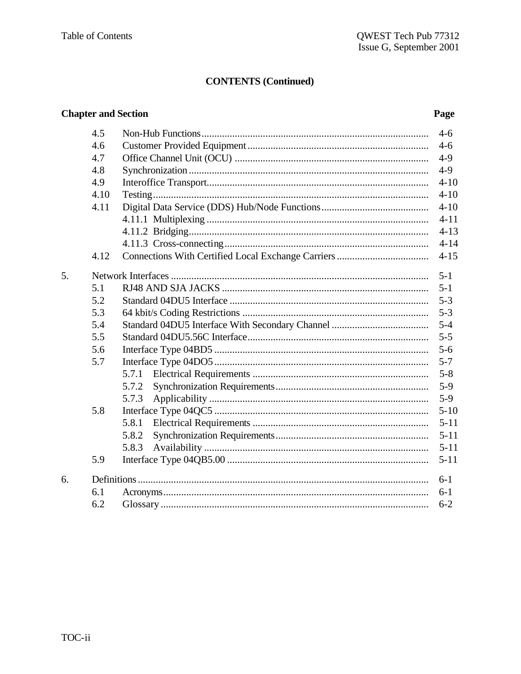# **CONTENTS (Continued)**

# **Chapter and Section**

# Page

|    | 4.5  |       | $4-6$    |
|----|------|-------|----------|
|    | 4.6  |       | $4-6$    |
|    | 4.7  |       | $4-9$    |
|    | 4.8  |       | $4-9$    |
|    | 4.9  |       | $4 - 10$ |
|    | 4.10 |       | $4 - 10$ |
|    | 4.11 |       | $4 - 10$ |
|    |      |       | $4 - 11$ |
|    |      |       | $4 - 13$ |
|    |      |       | $4 - 14$ |
|    | 4.12 |       | $4 - 15$ |
| 5. |      |       | $5 - 1$  |
|    | 5.1  |       | $5 - 1$  |
|    | 5.2  |       | $5 - 3$  |
|    | 5.3  |       | $5 - 3$  |
|    | 5.4  |       | $5 - 4$  |
|    | 5.5  |       | $5 - 5$  |
|    | 5.6  |       | $5 - 6$  |
|    | 5.7  |       | $5 - 7$  |
|    |      | 5.7.1 | $5 - 8$  |
|    |      | 5.7.2 | $5-9$    |
|    |      | 5.7.3 | $5-9$    |
|    | 5.8  |       | $5 - 10$ |
|    |      | 5.8.1 | $5 - 11$ |
|    |      | 5.8.2 | $5 - 11$ |
|    |      | 5.8.3 | $5 - 11$ |
|    | 5.9  |       | $5 - 11$ |
| 6. |      |       | $6-1$    |
|    | 6.1  |       | $6 - 1$  |
|    | 6.2  |       | $6 - 2$  |
|    |      |       |          |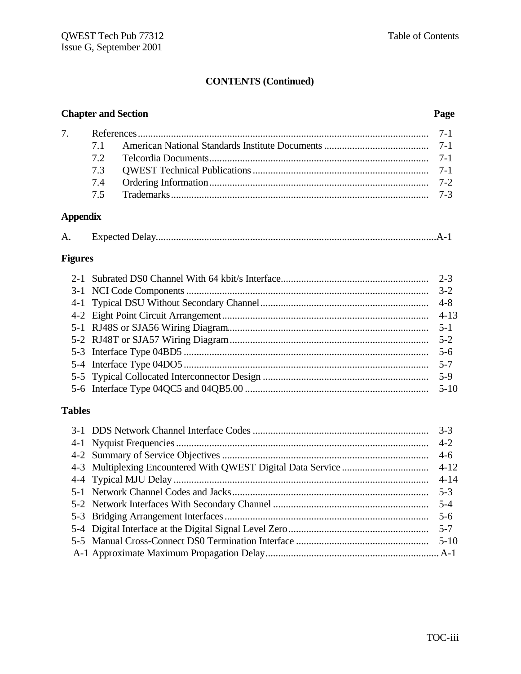# **CONTENTS (Continued)**

# **Chapter and Section Page**

| $\tau$ |  |  |
|--------|--|--|
|        |  |  |
|        |  |  |
|        |  |  |
|        |  |  |
|        |  |  |

# **Appendix**

| А. |  |  |
|----|--|--|
|    |  |  |

# **Figures**

# **Tables**

|  | $4-6$ |
|--|-------|
|  |       |
|  |       |
|  |       |
|  |       |
|  |       |
|  |       |
|  |       |
|  |       |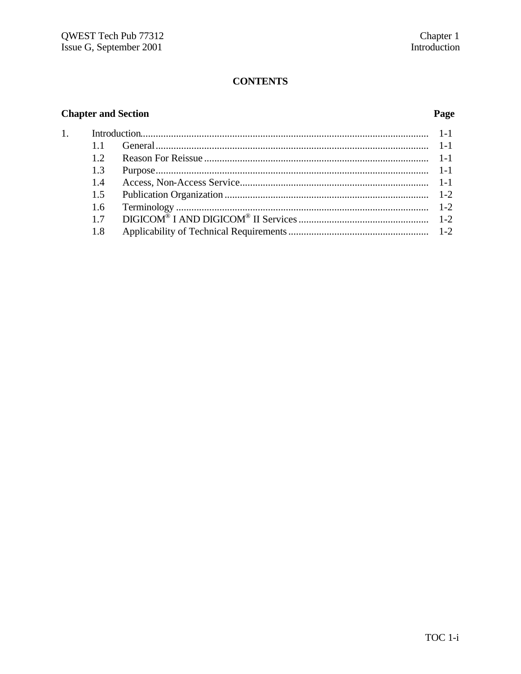# **CONTENTS**

# **Chapter and Section**

 $\overline{1}$ .

# Page

| 11            |  |
|---------------|--|
| 12            |  |
| 1.3           |  |
| $1\,4$        |  |
| 1.5           |  |
| $1.6^{\circ}$ |  |
| 17            |  |
| 1.8           |  |
|               |  |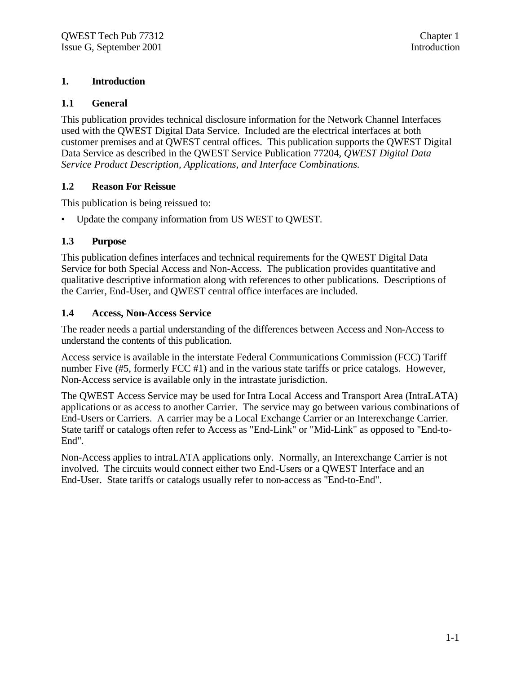# **1. Introduction**

# **1.1 General**

This publication provides technical disclosure information for the Network Channel Interfaces used with the QWEST Digital Data Service. Included are the electrical interfaces at both customer premises and at QWEST central offices. This publication supports the QWEST Digital Data Service as described in the QWEST Service Publication 77204, *QWEST Digital Data Service Product Description, Applications, and Interface Combinations.*

# **1.2 Reason For Reissue**

This publication is being reissued to:

• Update the company information from US WEST to QWEST.

# **1.3 Purpose**

This publication defines interfaces and technical requirements for the QWEST Digital Data Service for both Special Access and Non-Access. The publication provides quantitative and qualitative descriptive information along with references to other publications. Descriptions of the Carrier, End-User, and QWEST central office interfaces are included.

# **1.4 Access, Non-Access Service**

The reader needs a partial understanding of the differences between Access and Non-Access to understand the contents of this publication.

Access service is available in the interstate Federal Communications Commission (FCC) Tariff number Five (#5, formerly FCC #1) and in the various state tariffs or price catalogs. However, Non-Access service is available only in the intrastate jurisdiction.

The QWEST Access Service may be used for Intra Local Access and Transport Area (IntraLATA) applications or as access to another Carrier. The service may go between various combinations of End-Users or Carriers. A carrier may be a Local Exchange Carrier or an Interexchange Carrier. State tariff or catalogs often refer to Access as "End-Link" or "Mid-Link" as opposed to "End-to-End".

Non-Access applies to intraLATA applications only. Normally, an Interexchange Carrier is not involved. The circuits would connect either two End-Users or a QWEST Interface and an End-User. State tariffs or catalogs usually refer to non-access as "End-to-End".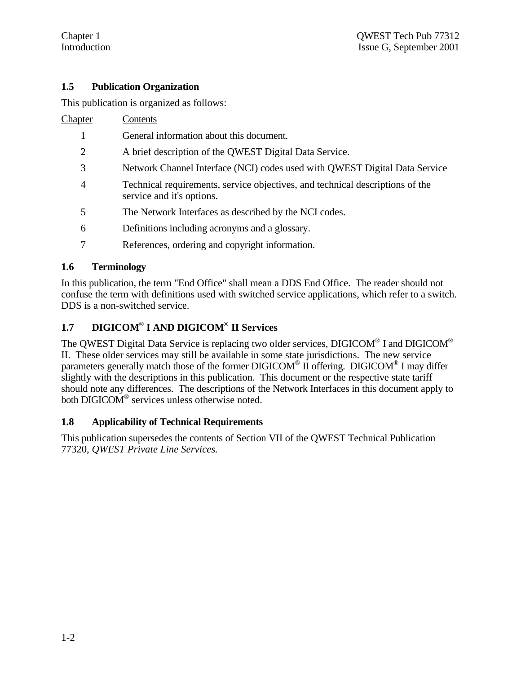# **1.5 Publication Organization**

This publication is organized as follows:

Chapter Contents

- 1 General information about this document.
- 2 A brief description of the QWEST Digital Data Service.
- 3 Network Channel Interface (NCI) codes used with QWEST Digital Data Service
- 4 Technical requirements, service objectives, and technical descriptions of the service and it's options.
- 5 The Network Interfaces as described by the NCI codes.
- 6 Definitions including acronyms and a glossary.
- 7 References, ordering and copyright information.

# **1.6 Terminology**

In this publication, the term "End Office" shall mean a DDS End Office. The reader should not confuse the term with definitions used with switched service applications, which refer to a switch. DDS is a non-switched service.

# **1.7 DIGICOM® I AND DIGICOM® II Services**

The QWEST Digital Data Service is replacing two older services, DIGICOM® I and DIGICOM® II. These older services may still be available in some state jurisdictions. The new service parameters generally match those of the former  $DIGICOM^{\circledast}$  II offering. DIGICOM<sup>®</sup> I may differ slightly with the descriptions in this publication. This document or the respective state tariff should note any differences. The descriptions of the Network Interfaces in this document apply to both DIGICOM<sup>®</sup> services unless otherwise noted.

# **1.8 Applicability of Technical Requirements**

This publication supersedes the contents of Section VII of the QWEST Technical Publication 77320, *QWEST Private Line Services.*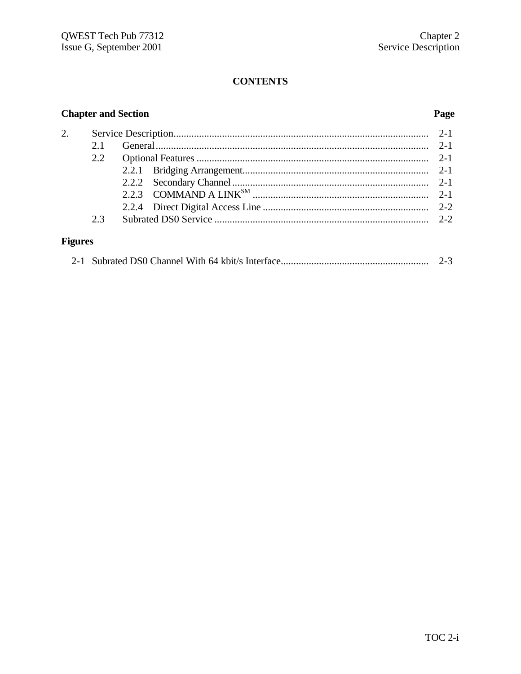# **CONTENTS**

# **Chapter and Section**

# Page

|                | 2.1 |  |
|----------------|-----|--|
|                | 2.2 |  |
|                |     |  |
|                |     |  |
|                |     |  |
|                |     |  |
|                | 23  |  |
|                |     |  |
| <b>Figures</b> |     |  |

|--|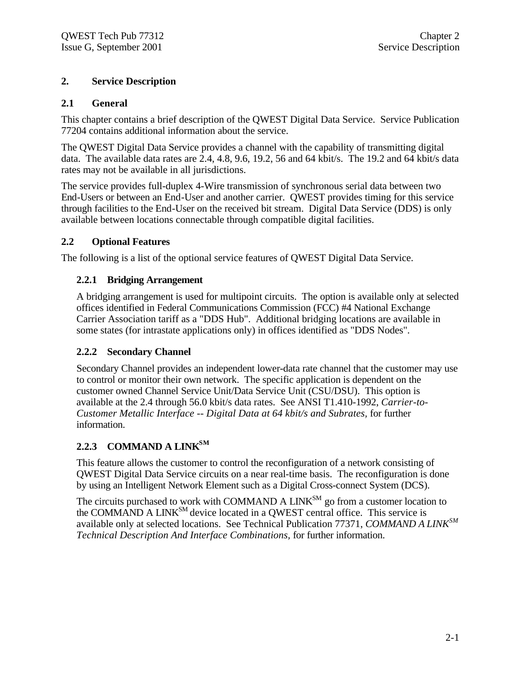# **2. Service Description**

# **2.1 General**

This chapter contains a brief description of the QWEST Digital Data Service. Service Publication 77204 contains additional information about the service.

The QWEST Digital Data Service provides a channel with the capability of transmitting digital data. The available data rates are 2.4, 4.8, 9.6, 19.2, 56 and 64 kbit/s. The 19.2 and 64 kbit/s data rates may not be available in all jurisdictions.

The service provides full-duplex 4-Wire transmission of synchronous serial data between two End-Users or between an End-User and another carrier. QWEST provides timing for this service through facilities to the End-User on the received bit stream. Digital Data Service (DDS) is only available between locations connectable through compatible digital facilities.

# **2.2 Optional Features**

The following is a list of the optional service features of QWEST Digital Data Service.

# **2.2.1 Bridging Arrangement**

A bridging arrangement is used for multipoint circuits. The option is available only at selected offices identified in Federal Communications Commission (FCC) #4 National Exchange Carrier Association tariff as a "DDS Hub". Additional bridging locations are available in some states (for intrastate applications only) in offices identified as "DDS Nodes".

# **2.2.2 Secondary Channel**

Secondary Channel provides an independent lower-data rate channel that the customer may use to control or monitor their own network. The specific application is dependent on the customer owned Channel Service Unit/Data Service Unit (CSU/DSU). This option is available at the 2.4 through 56.0 kbit/s data rates. See ANSI T1.410-1992, *Carrier-to-Customer Metallic Interface -- Digital Data at 64 kbit/s and Subrates,* for further information.

# **2.2.3 COMMAND A LINKSM**

This feature allows the customer to control the reconfiguration of a network consisting of QWEST Digital Data Service circuits on a near real-time basis. The reconfiguration is done by using an Intelligent Network Element such as a Digital Cross-connect System (DCS).

The circuits purchased to work with COMMAND A LINK<sup>SM</sup> go from a customer location to the COMMAND A LINK<sup>SM</sup> device located in a QWEST central office. This service is available only at selected locations. See Technical Publication 77371, *COMMAND A LINKSM Technical Description And Interface Combinations,* for further information.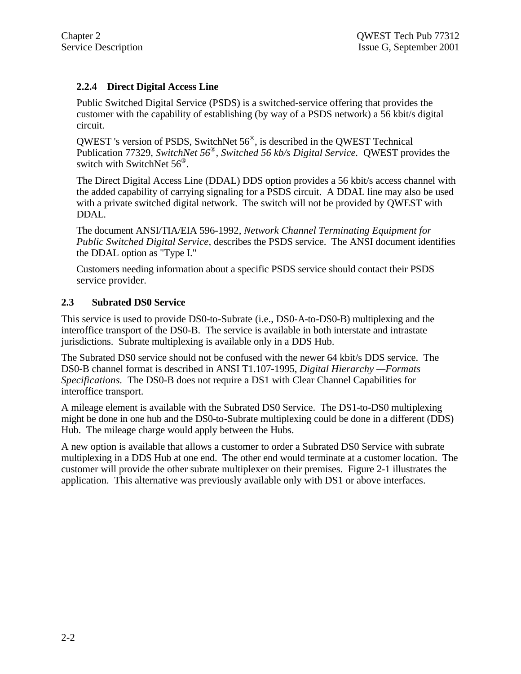# **2.2.4 Direct Digital Access Line**

Public Switched Digital Service (PSDS) is a switched-service offering that provides the customer with the capability of establishing (by way of a PSDS network) a 56 kbit/s digital circuit.

QWEST 's version of PSDS, SwitchNet  $56^\circ$ , is described in the QWEST Technical Publication 77329, *SwitchNet 56® , Switched 56 kb/s Digital Service.* QWEST provides the switch with SwitchNet  $56^{\circ}$ .

The Direct Digital Access Line (DDAL) DDS option provides a 56 kbit/s access channel with the added capability of carrying signaling for a PSDS circuit. A DDAL line may also be used with a private switched digital network. The switch will not be provided by QWEST with DDAL.

The document ANSI/TIA/EIA 596-1992, *Network Channel Terminating Equipment for Public Switched Digital Service,* describes the PSDS service. The ANSI document identifies the DDAL option as "Type I."

Customers needing information about a specific PSDS service should contact their PSDS service provider.

# **2.3 Subrated DS0 Service**

This service is used to provide DS0-to-Subrate (i.e., DS0-A-to-DS0-B) multiplexing and the interoffice transport of the DS0-B. The service is available in both interstate and intrastate jurisdictions. Subrate multiplexing is available only in a DDS Hub.

The Subrated DS0 service should not be confused with the newer 64 kbit/s DDS service. The DS0-B channel format is described in ANSI T1.107-1995, *Digital Hierarchy —Formats Specifications.* The DS0-B does not require a DS1 with Clear Channel Capabilities for interoffice transport.

A mileage element is available with the Subrated DS0 Service. The DS1-to-DS0 multiplexing might be done in one hub and the DS0-to-Subrate multiplexing could be done in a different (DDS) Hub. The mileage charge would apply between the Hubs.

A new option is available that allows a customer to order a Subrated DS0 Service with subrate multiplexing in a DDS Hub at one end. The other end would terminate at a customer location. The customer will provide the other subrate multiplexer on their premises. Figure 2-1 illustrates the application. This alternative was previously available only with DS1 or above interfaces.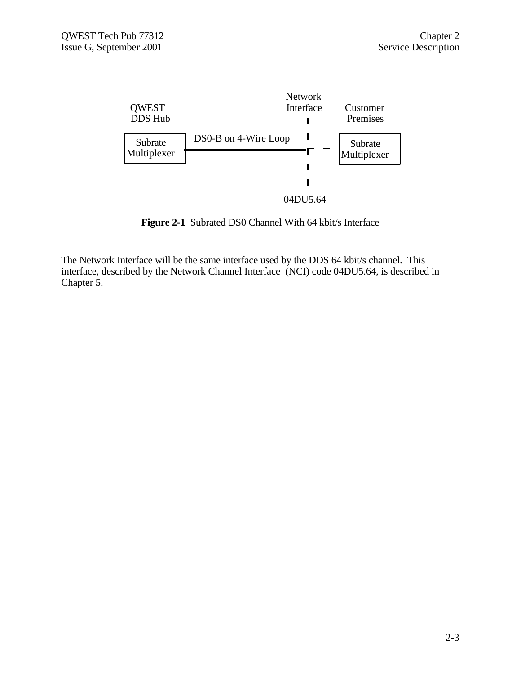

**Figure 2-1** Subrated DS0 Channel With 64 kbit/s Interface

The Network Interface will be the same interface used by the DDS 64 kbit/s channel. This interface, described by the Network Channel Interface (NCI) code 04DU5.64, is described in Chapter 5.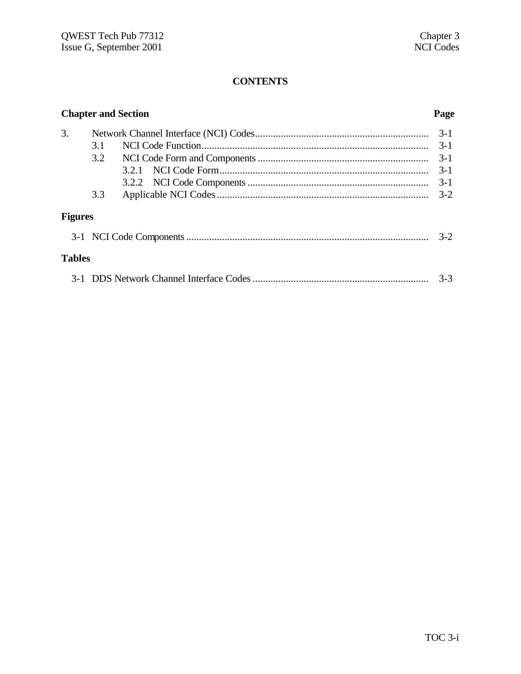# **CONTENTS**

|                | <b>Chapter and Section</b> | Page    |
|----------------|----------------------------|---------|
| 3.             |                            | $3-1$   |
|                | 3.1                        | $3-1$   |
|                | 3.2                        | $3 - 1$ |
|                | 3.2.1                      | $3-1$   |
|                |                            | $3 - 1$ |
|                | 3.3                        | $3-2$   |
| <b>Figures</b> |                            |         |
|                |                            | $3-2$   |
| <b>Tables</b>  |                            |         |
|                |                            | $3 - 3$ |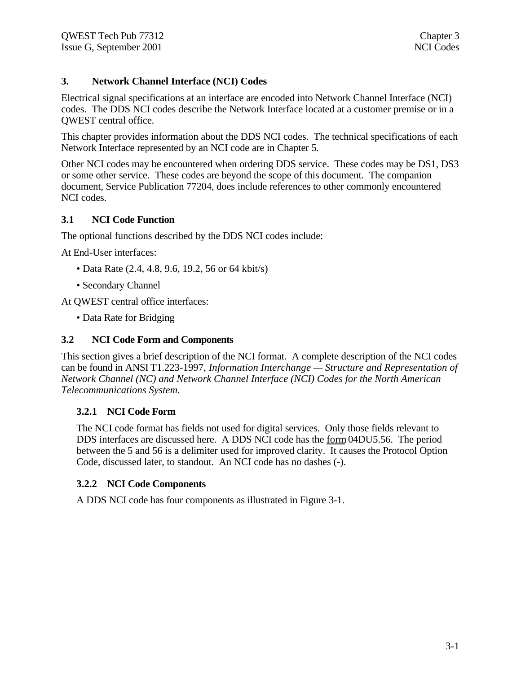# **3. Network Channel Interface (NCI) Codes**

Electrical signal specifications at an interface are encoded into Network Channel Interface (NCI) codes. The DDS NCI codes describe the Network Interface located at a customer premise or in a QWEST central office.

This chapter provides information about the DDS NCI codes. The technical specifications of each Network Interface represented by an NCI code are in Chapter 5.

Other NCI codes may be encountered when ordering DDS service. These codes may be DS1, DS3 or some other service. These codes are beyond the scope of this document. The companion document, Service Publication 77204, does include references to other commonly encountered NCI codes.

# **3.1 NCI Code Function**

The optional functions described by the DDS NCI codes include:

At End-User interfaces:

- Data Rate (2.4, 4.8, 9.6, 19.2, 56 or 64 kbit/s)
- Secondary Channel

At QWEST central office interfaces:

• Data Rate for Bridging

### **3.2 NCI Code Form and Components**

This section gives a brief description of the NCI format. A complete description of the NCI codes can be found in ANSI T1.223-1997, *Information Interchange — Structure and Representation of Network Channel (NC) and Network Channel Interface (NCI) Codes for the North American Telecommunications System.*

# **3.2.1 NCI Code Form**

The NCI code format has fields not used for digital services. Only those fields relevant to DDS interfaces are discussed here. A DDS NCI code has the form 04DU5.56. The period between the 5 and 56 is a delimiter used for improved clarity. It causes the Protocol Option Code, discussed later, to standout. An NCI code has no dashes (-).

### **3.2.2 NCI Code Components**

A DDS NCI code has four components as illustrated in Figure 3-1.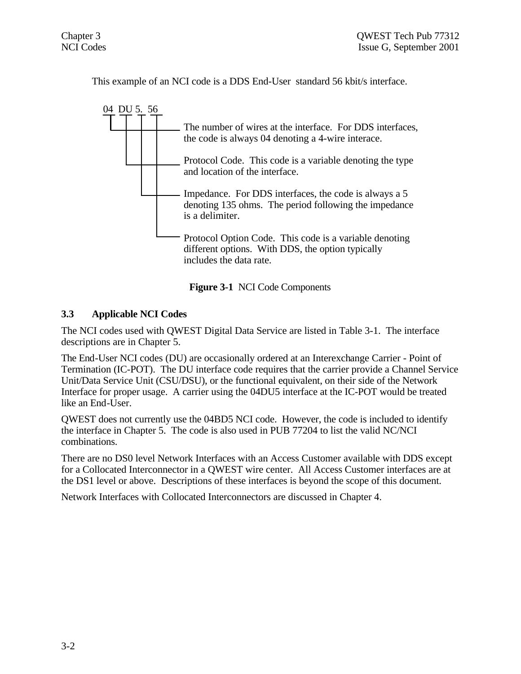This example of an NCI code is a DDS End-User standard 56 kbit/s interface.



**Figure 3-1** NCI Code Components

# **3.3 Applicable NCI Codes**

The NCI codes used with QWEST Digital Data Service are listed in Table 3-1. The interface descriptions are in Chapter 5.

The End-User NCI codes (DU) are occasionally ordered at an Interexchange Carrier - Point of Termination (IC-POT). The DU interface code requires that the carrier provide a Channel Service Unit/Data Service Unit (CSU/DSU), or the functional equivalent, on their side of the Network Interface for proper usage. A carrier using the 04DU5 interface at the IC-POT would be treated like an End-User.

QWEST does not currently use the 04BD5 NCI code. However, the code is included to identify the interface in Chapter 5. The code is also used in PUB 77204 to list the valid NC/NCI combinations.

There are no DS0 level Network Interfaces with an Access Customer available with DDS except for a Collocated Interconnector in a QWEST wire center. All Access Customer interfaces are at the DS1 level or above. Descriptions of these interfaces is beyond the scope of this document.

Network Interfaces with Collocated Interconnectors are discussed in Chapter 4.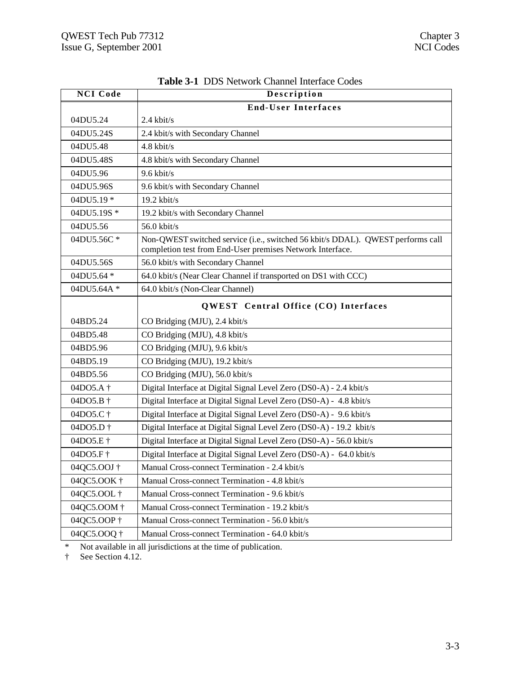| <b>NCI Code</b>      | Description                                                                                                                                  |
|----------------------|----------------------------------------------------------------------------------------------------------------------------------------------|
|                      | <b>End-User Interfaces</b>                                                                                                                   |
| 04DU5.24             | $2.4$ kbit/s                                                                                                                                 |
| 04DU5.24S            | 2.4 kbit/s with Secondary Channel                                                                                                            |
| 04DU5.48             | 4.8 kbit/s                                                                                                                                   |
| 04DU5.48S            | 4.8 kbit/s with Secondary Channel                                                                                                            |
| 04DU5.96             | $9.6$ kbit/s                                                                                                                                 |
| 04DU5.96S            | 9.6 kbit/s with Secondary Channel                                                                                                            |
| 04DU5.19 *           | $19.2$ kbit/s                                                                                                                                |
| 04DU5.19S *          | 19.2 kbit/s with Secondary Channel                                                                                                           |
| 04DU5.56             | 56.0 kbit/s                                                                                                                                  |
| 04DU5.56C*           | Non-QWEST switched service (i.e., switched 56 kbit/s DDAL). QWEST performs call<br>completion test from End-User premises Network Interface. |
| 04DU5.56S            | 56.0 kbit/s with Secondary Channel                                                                                                           |
| 04DU5.64 *           | 64.0 kbit/s (Near Clear Channel if transported on DS1 with CCC)                                                                              |
| 04DU5.64A *          | 64.0 kbit/s (Non-Clear Channel)                                                                                                              |
|                      | QWEST Central Office (CO) Interfaces                                                                                                         |
| 04BD5.24             | CO Bridging (MJU), 2.4 kbit/s                                                                                                                |
| 04BD5.48             | CO Bridging (MJU), 4.8 kbit/s                                                                                                                |
| 04BD5.96             | CO Bridging (MJU), 9.6 kbit/s                                                                                                                |
| 04BD5.19             | CO Bridging (MJU), 19.2 kbit/s                                                                                                               |
| 04BD5.56             | CO Bridging (MJU), 56.0 kbit/s                                                                                                               |
| 04DO5.A <sup>+</sup> | Digital Interface at Digital Signal Level Zero (DS0-A) - 2.4 kbit/s                                                                          |
| 04DO5.B +            | Digital Interface at Digital Signal Level Zero (DS0-A) - 4.8 kbit/s                                                                          |
| 04DO5.C <sup>+</sup> | Digital Interface at Digital Signal Level Zero (DS0-A) - 9.6 kbit/s                                                                          |
| 04DO5.D <sup>+</sup> | Digital Interface at Digital Signal Level Zero (DS0-A) - 19.2 kbit/s                                                                         |
| 04DO5.E †            | Digital Interface at Digital Signal Level Zero (DS0-A) - 56.0 kbit/s                                                                         |
| 04DO5.F <sup>+</sup> | Digital Interface at Digital Signal Level Zero (DS0-A) - 64.0 kbit/s                                                                         |
| 04QC5.OOJ †          | Manual Cross-connect Termination - 2.4 kbit/s                                                                                                |
| 04QC5.OOK †          | Manual Cross-connect Termination - 4.8 kbit/s                                                                                                |
| 04QC5.OOL †          | Manual Cross-connect Termination - 9.6 kbit/s                                                                                                |
| 04QC5.OOM †          | Manual Cross-connect Termination - 19.2 kbit/s                                                                                               |
| 04QC5.OOP †          | Manual Cross-connect Termination - 56.0 kbit/s                                                                                               |
| 04QC5.OOQ †          | Manual Cross-connect Termination - 64.0 kbit/s                                                                                               |

| <b>Table 3-1 DDS Network Channel Interface Codes</b> |
|------------------------------------------------------|
|------------------------------------------------------|

\* Not available in all jurisdictions at the time of publication.

† See Section 4.12.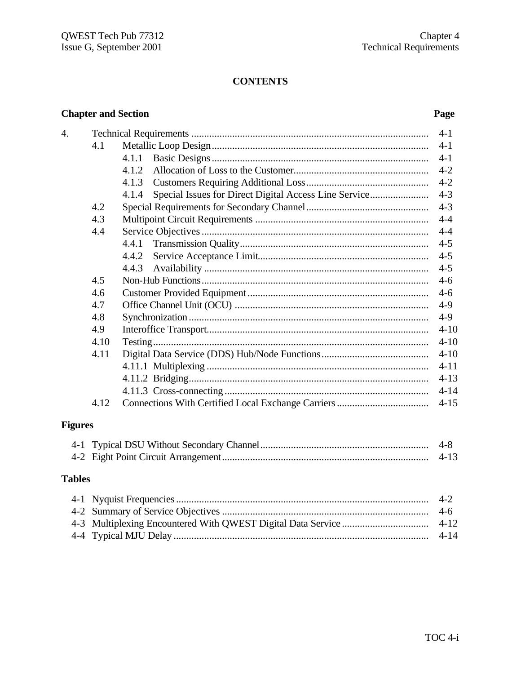# **CONTENTS**

# **Chapter and Section**

# Page

| $\overline{4}$ . |      |                                                                | $4-1$    |
|------------------|------|----------------------------------------------------------------|----------|
|                  | 4.1  |                                                                | $4-1$    |
|                  |      | 4.1.1                                                          |          |
|                  |      | 4.1.2.                                                         | $4 - 2$  |
|                  |      | 4.1.3                                                          |          |
|                  |      | Special Issues for Direct Digital Access Line Service<br>4.1.4 | $4 - 3$  |
|                  | 4.2  |                                                                | $4 - 3$  |
|                  | 4.3  |                                                                | $4 - 4$  |
|                  | 4.4  |                                                                |          |
|                  |      | 4.4.1                                                          | $4 - 5$  |
|                  |      | 4.4.2                                                          |          |
|                  |      | 4.4.3                                                          | $4 - 5$  |
|                  | 4.5  |                                                                | $4-6$    |
|                  | 4.6  |                                                                | $4-6$    |
|                  | 4.7  |                                                                | $4-9$    |
|                  | 4.8  |                                                                | $4-9$    |
|                  | 4.9  |                                                                | $4 - 10$ |
|                  | 4.10 |                                                                | $4 - 10$ |
|                  | 4.11 |                                                                | $4 - 10$ |
|                  |      |                                                                | $4 - 11$ |
|                  |      |                                                                | $4 - 13$ |
|                  |      |                                                                | $4 - 14$ |
|                  | 4.12 |                                                                |          |
| <b>Figures</b>   |      |                                                                |          |

# 

# **Tables**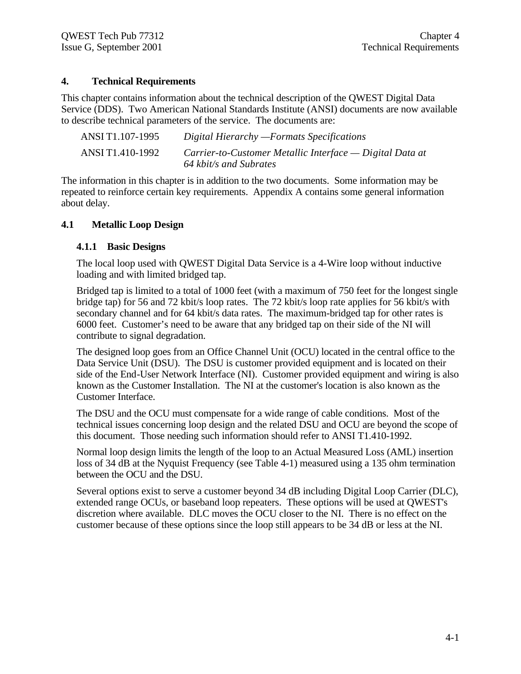# **4. Technical Requirements**

This chapter contains information about the technical description of the QWEST Digital Data Service (DDS). Two American National Standards Institute (ANSI) documents are now available to describe technical parameters of the service. The documents are:

| ANSI T1.107-1995 | Digital Hierarchy - Formats Specifications                                         |
|------------------|------------------------------------------------------------------------------------|
| ANSI T1.410-1992 | Carrier-to-Customer Metallic Interface — Digital Data at<br>64 kbit/s and Subrates |

The information in this chapter is in addition to the two documents. Some information may be repeated to reinforce certain key requirements. Appendix A contains some general information about delay.

### **4.1 Metallic Loop Design**

#### **4.1.1 Basic Designs**

The local loop used with QWEST Digital Data Service is a 4-Wire loop without inductive loading and with limited bridged tap.

Bridged tap is limited to a total of 1000 feet (with a maximum of 750 feet for the longest single bridge tap) for 56 and 72 kbit/s loop rates. The 72 kbit/s loop rate applies for 56 kbit/s with secondary channel and for 64 kbit/s data rates. The maximum-bridged tap for other rates is 6000 feet. Customer's need to be aware that any bridged tap on their side of the NI will contribute to signal degradation.

The designed loop goes from an Office Channel Unit (OCU) located in the central office to the Data Service Unit (DSU). The DSU is customer provided equipment and is located on their side of the End-User Network Interface (NI). Customer provided equipment and wiring is also known as the Customer Installation. The NI at the customer's location is also known as the Customer Interface.

The DSU and the OCU must compensate for a wide range of cable conditions. Most of the technical issues concerning loop design and the related DSU and OCU are beyond the scope of this document. Those needing such information should refer to ANSI T1.410-1992.

Normal loop design limits the length of the loop to an Actual Measured Loss (AML) insertion loss of 34 dB at the Nyquist Frequency (see Table 4-1) measured using a 135 ohm termination between the OCU and the DSU.

Several options exist to serve a customer beyond 34 dB including Digital Loop Carrier (DLC), extended range OCUs, or baseband loop repeaters. These options will be used at QWEST's discretion where available. DLC moves the OCU closer to the NI. There is no effect on the customer because of these options since the loop still appears to be 34 dB or less at the NI.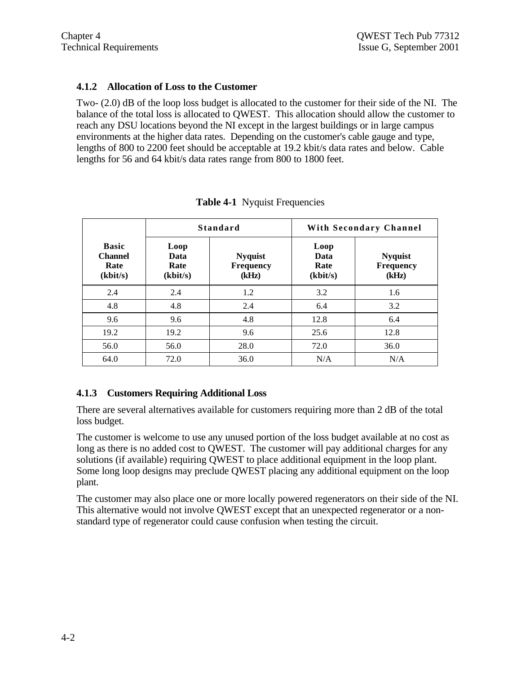# **4.1.2 Allocation of Loss to the Customer**

Two- (2.0) dB of the loop loss budget is allocated to the customer for their side of the NI. The balance of the total loss is allocated to QWEST. This allocation should allow the customer to reach any DSU locations beyond the NI except in the largest buildings or in large campus environments at the higher data rates. Depending on the customer's cable gauge and type, lengths of 800 to 2200 feet should be acceptable at 19.2 kbit/s data rates and below. Cable lengths for 56 and 64 kbit/s data rates range from 800 to 1800 feet.

|                                                    | Standard                         |                                             | With Secondary Channel           |                                             |
|----------------------------------------------------|----------------------------------|---------------------------------------------|----------------------------------|---------------------------------------------|
| <b>Basic</b><br><b>Channel</b><br>Rate<br>(kbit/s) | Loop<br>Data<br>Rate<br>(kbit/s) | <b>Nyquist</b><br><b>Frequency</b><br>(kHz) | Loop<br>Data<br>Rate<br>(kbit/s) | <b>Nyquist</b><br><b>Frequency</b><br>(kHz) |
| 2.4                                                | 2.4                              | 1.2                                         | 3.2                              | 1.6                                         |
| 4.8                                                | 4.8                              | 2.4                                         | 6.4                              | 3.2                                         |
| 9.6                                                | 9.6                              | 4.8                                         | 12.8                             | 6.4                                         |
| 19.2                                               | 19.2                             | 9.6                                         | 25.6                             | 12.8                                        |
| 56.0                                               | 56.0                             | 28.0                                        | 72.0                             | 36.0                                        |
| 64.0                                               | 72.0                             | 36.0                                        | N/A                              | N/A                                         |

|  | <b>Table 4-1</b> Nyquist Frequencies |
|--|--------------------------------------|
|--|--------------------------------------|

# **4.1.3 Customers Requiring Additional Loss**

There are several alternatives available for customers requiring more than 2 dB of the total loss budget.

The customer is welcome to use any unused portion of the loss budget available at no cost as long as there is no added cost to QWEST. The customer will pay additional charges for any solutions (if available) requiring QWEST to place additional equipment in the loop plant. Some long loop designs may preclude QWEST placing any additional equipment on the loop plant.

The customer may also place one or more locally powered regenerators on their side of the NI. This alternative would not involve QWEST except that an unexpected regenerator or a nonstandard type of regenerator could cause confusion when testing the circuit.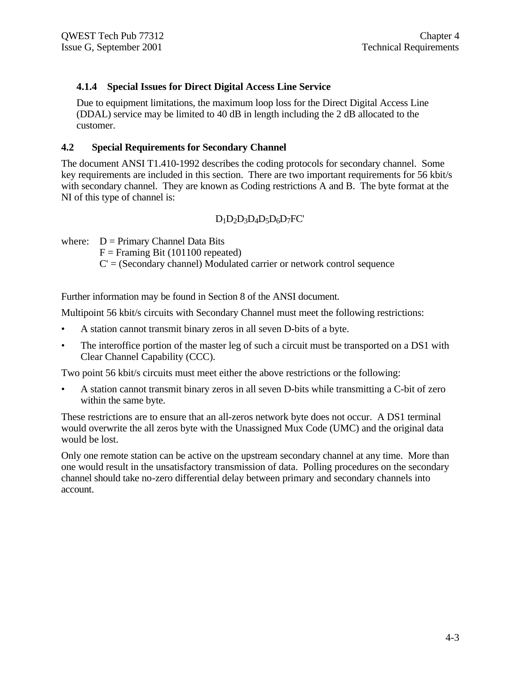# **4.1.4 Special Issues for Direct Digital Access Line Service**

Due to equipment limitations, the maximum loop loss for the Direct Digital Access Line (DDAL) service may be limited to 40 dB in length including the 2 dB allocated to the customer.

#### **4.2 Special Requirements for Secondary Channel**

The document ANSI T1.410-1992 describes the coding protocols for secondary channel. Some key requirements are included in this section. There are two important requirements for 56 kbit/s with secondary channel. They are known as Coding restrictions A and B. The byte format at the NI of this type of channel is:

# $D_1D_2D_3D_4D_5D_6D_7FC'$

where:  $D = Primary Channel Data Bits$ 

 $F =$  Framing Bit (101100 repeated)

 $C = ($ Secondary channel $)$  Modulated carrier or network control sequence

Further information may be found in Section 8 of the ANSI document.

Multipoint 56 kbit/s circuits with Secondary Channel must meet the following restrictions:

- A station cannot transmit binary zeros in all seven D-bits of a byte.
- The interoffice portion of the master leg of such a circuit must be transported on a DS1 with Clear Channel Capability (CCC).

Two point 56 kbit/s circuits must meet either the above restrictions or the following:

• A station cannot transmit binary zeros in all seven D-bits while transmitting a C-bit of zero within the same byte.

These restrictions are to ensure that an all-zeros network byte does not occur. A DS1 terminal would overwrite the all zeros byte with the Unassigned Mux Code (UMC) and the original data would be lost.

Only one remote station can be active on the upstream secondary channel at any time. More than one would result in the unsatisfactory transmission of data. Polling procedures on the secondary channel should take no-zero differential delay between primary and secondary channels into account.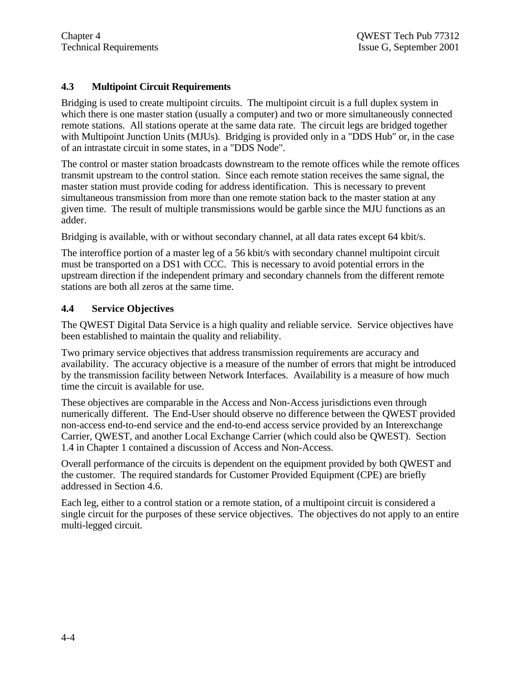# **4.3 Multipoint Circuit Requirements**

Bridging is used to create multipoint circuits. The multipoint circuit is a full duplex system in which there is one master station (usually a computer) and two or more simultaneously connected remote stations. All stations operate at the same data rate. The circuit legs are bridged together with Multipoint Junction Units (MJUs). Bridging is provided only in a "DDS Hub" or, in the case of an intrastate circuit in some states, in a "DDS Node".

The control or master station broadcasts downstream to the remote offices while the remote offices transmit upstream to the control station. Since each remote station receives the same signal, the master station must provide coding for address identification. This is necessary to prevent simultaneous transmission from more than one remote station back to the master station at any given time. The result of multiple transmissions would be garble since the MJU functions as an adder.

Bridging is available, with or without secondary channel, at all data rates except 64 kbit/s.

The interoffice portion of a master leg of a 56 kbit/s with secondary channel multipoint circuit must be transported on a DS1 with CCC. This is necessary to avoid potential errors in the upstream direction if the independent primary and secondary channels from the different remote stations are both all zeros at the same time.

# **4.4 Service Objectives**

The QWEST Digital Data Service is a high quality and reliable service. Service objectives have been established to maintain the quality and reliability.

Two primary service objectives that address transmission requirements are accuracy and availability. The accuracy objective is a measure of the number of errors that might be introduced by the transmission facility between Network Interfaces. Availability is a measure of how much time the circuit is available for use.

These objectives are comparable in the Access and Non-Access jurisdictions even through numerically different. The End-User should observe no difference between the QWEST provided non-access end-to-end service and the end-to-end access service provided by an Interexchange Carrier, QWEST, and another Local Exchange Carrier (which could also be QWEST). Section 1.4 in Chapter 1 contained a discussion of Access and Non-Access.

Overall performance of the circuits is dependent on the equipment provided by both QWEST and the customer. The required standards for Customer Provided Equipment (CPE) are briefly addressed in Section 4.6.

Each leg, either to a control station or a remote station, of a multipoint circuit is considered a single circuit for the purposes of these service objectives. The objectives do not apply to an entire multi-legged circuit.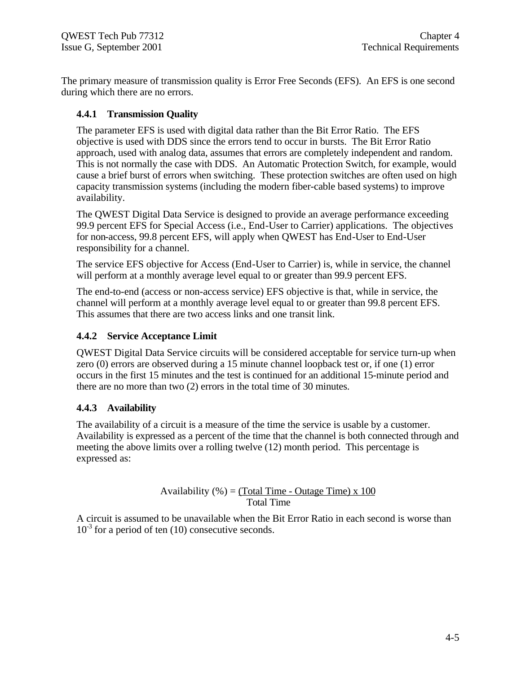The primary measure of transmission quality is Error Free Seconds (EFS). An EFS is one second during which there are no errors.

# **4.4.1 Transmission Quality**

The parameter EFS is used with digital data rather than the Bit Error Ratio. The EFS objective is used with DDS since the errors tend to occur in bursts. The Bit Error Ratio approach, used with analog data, assumes that errors are completely independent and random. This is not normally the case with DDS. An Automatic Protection Switch, for example, would cause a brief burst of errors when switching. These protection switches are often used on high capacity transmission systems (including the modern fiber-cable based systems) to improve availability.

The QWEST Digital Data Service is designed to provide an average performance exceeding 99.9 percent EFS for Special Access (i.e., End-User to Carrier) applications. The objectives for non-access, 99.8 percent EFS, will apply when QWEST has End-User to End-User responsibility for a channel.

The service EFS objective for Access (End-User to Carrier) is, while in service, the channel will perform at a monthly average level equal to or greater than 99.9 percent EFS.

The end-to-end (access or non-access service) EFS objective is that, while in service, the channel will perform at a monthly average level equal to or greater than 99.8 percent EFS. This assumes that there are two access links and one transit link.

# **4.4.2 Service Acceptance Limit**

QWEST Digital Data Service circuits will be considered acceptable for service turn-up when zero (0) errors are observed during a 15 minute channel loopback test or, if one (1) error occurs in the first 15 minutes and the test is continued for an additional 15-minute period and there are no more than two (2) errors in the total time of 30 minutes.

# **4.4.3 Availability**

The availability of a circuit is a measure of the time the service is usable by a customer. Availability is expressed as a percent of the time that the channel is both connected through and meeting the above limits over a rolling twelve (12) month period. This percentage is expressed as:

$$
Availability (%) = \frac{(Total Time - Outage Time) \times 100}{Total Time}
$$

A circuit is assumed to be unavailable when the Bit Error Ratio in each second is worse than  $10^{-3}$  for a period of ten (10) consecutive seconds.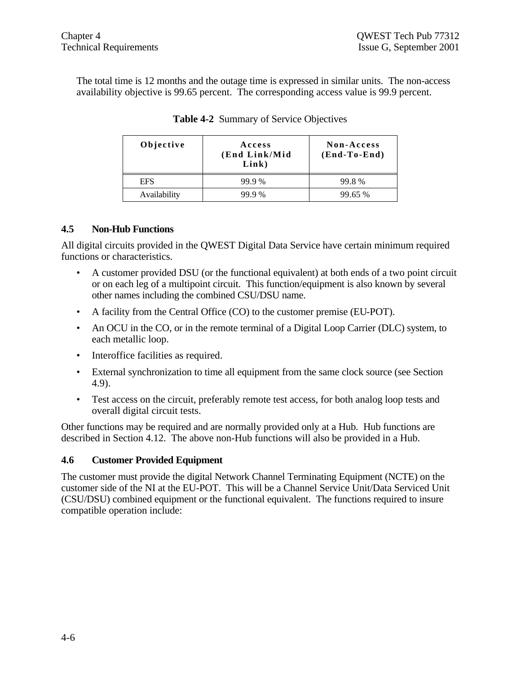The total time is 12 months and the outage time is expressed in similar units. The non-access availability objective is 99.65 percent. The corresponding access value is 99.9 percent.

| Objective    | Access<br>(End Link/Mid<br>Link) | Non-Access<br>$(End-To-End)$ |  |
|--------------|----------------------------------|------------------------------|--|
| <b>EFS</b>   | 99.9%                            | 99.8%                        |  |
| Availability | 99 9 %                           | 99.65 %                      |  |

# **Table 4-2** Summary of Service Objectives

# **4.5 Non-Hub Functions**

All digital circuits provided in the QWEST Digital Data Service have certain minimum required functions or characteristics.

- A customer provided DSU (or the functional equivalent) at both ends of a two point circuit or on each leg of a multipoint circuit. This function/equipment is also known by several other names including the combined CSU/DSU name.
- A facility from the Central Office (CO) to the customer premise (EU-POT).
- An OCU in the CO, or in the remote terminal of a Digital Loop Carrier (DLC) system, to each metallic loop.
- Interoffice facilities as required.
- External synchronization to time all equipment from the same clock source (see Section 4.9).
- Test access on the circuit, preferably remote test access, for both analog loop tests and overall digital circuit tests.

Other functions may be required and are normally provided only at a Hub. Hub functions are described in Section 4.12. The above non-Hub functions will also be provided in a Hub.

# **4.6 Customer Provided Equipment**

The customer must provide the digital Network Channel Terminating Equipment (NCTE) on the customer side of the NI at the EU-POT. This will be a Channel Service Unit/Data Serviced Unit (CSU/DSU) combined equipment or the functional equivalent. The functions required to insure compatible operation include: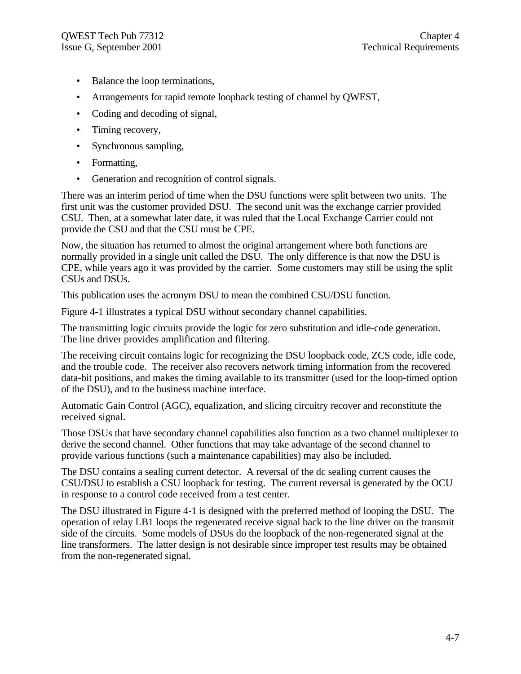- Balance the loop terminations,
- Arrangements for rapid remote loopback testing of channel by QWEST,
- Coding and decoding of signal,
- Timing recovery,
- Synchronous sampling,
- Formatting,
- Generation and recognition of control signals.

There was an interim period of time when the DSU functions were split between two units. The first unit was the customer provided DSU. The second unit was the exchange carrier provided CSU. Then, at a somewhat later date, it was ruled that the Local Exchange Carrier could not provide the CSU and that the CSU must be CPE.

Now, the situation has returned to almost the original arrangement where both functions are normally provided in a single unit called the DSU. The only difference is that now the DSU is CPE, while years ago it was provided by the carrier. Some customers may still be using the split CSUs and DSUs.

This publication uses the acronym DSU to mean the combined CSU/DSU function.

Figure 4-1 illustrates a typical DSU without secondary channel capabilities.

The transmitting logic circuits provide the logic for zero substitution and idle-code generation. The line driver provides amplification and filtering.

The receiving circuit contains logic for recognizing the DSU loopback code, ZCS code, idle code, and the trouble code. The receiver also recovers network timing information from the recovered data-bit positions, and makes the timing available to its transmitter (used for the loop-timed option of the DSU), and to the business machine interface.

Automatic Gain Control (AGC), equalization, and slicing circuitry recover and reconstitute the received signal.

Those DSUs that have secondary channel capabilities also function as a two channel multiplexer to derive the second channel. Other functions that may take advantage of the second channel to provide various functions (such a maintenance capabilities) may also be included.

The DSU contains a sealing current detector. A reversal of the dc sealing current causes the CSU/DSU to establish a CSU loopback for testing. The current reversal is generated by the OCU in response to a control code received from a test center.

The DSU illustrated in Figure 4-1 is designed with the preferred method of looping the DSU. The operation of relay LB1 loops the regenerated receive signal back to the line driver on the transmit side of the circuits. Some models of DSUs do the loopback of the non-regenerated signal at the line transformers. The latter design is not desirable since improper test results may be obtained from the non-regenerated signal.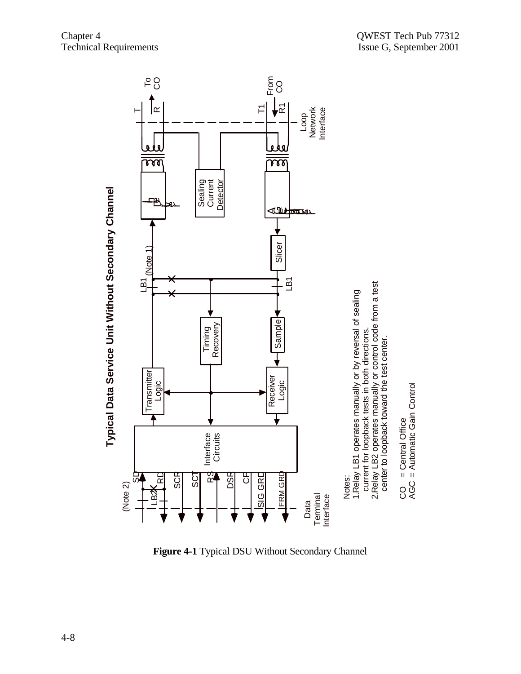



**Figure 4-1** Typical DSU Without Secondary Channel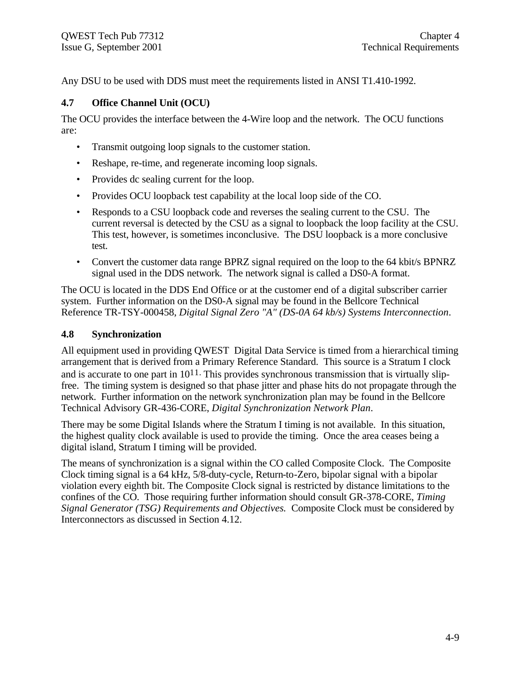Any DSU to be used with DDS must meet the requirements listed in ANSI T1.410-1992.

# **4.7 Office Channel Unit (OCU)**

The OCU provides the interface between the 4-Wire loop and the network. The OCU functions are:

- Transmit outgoing loop signals to the customer station.
- Reshape, re-time, and regenerate incoming loop signals.
- Provides dc sealing current for the loop.
- Provides OCU loopback test capability at the local loop side of the CO.
- Responds to a CSU loopback code and reverses the sealing current to the CSU. The current reversal is detected by the CSU as a signal to loopback the loop facility at the CSU. This test, however, is sometimes inconclusive. The DSU loopback is a more conclusive test.
- Convert the customer data range BPRZ signal required on the loop to the 64 kbit/s BPNRZ signal used in the DDS network. The network signal is called a DS0-A format.

The OCU is located in the DDS End Office or at the customer end of a digital subscriber carrier system. Further information on the DS0-A signal may be found in the Bellcore Technical Reference TR-TSY-000458, *Digital Signal Zero "A" (DS-0A 64 kb/s) Systems Interconnection*.

### **4.8 Synchronization**

All equipment used in providing QWEST Digital Data Service is timed from a hierarchical timing arrangement that is derived from a Primary Reference Standard. This source is a Stratum I clock and is accurate to one part in  $10^{11}$ . This provides synchronous transmission that is virtually slipfree. The timing system is designed so that phase jitter and phase hits do not propagate through the network. Further information on the network synchronization plan may be found in the Bellcore Technical Advisory GR-436-CORE, *Digital Synchronization Network Plan*.

There may be some Digital Islands where the Stratum I timing is not available. In this situation, the highest quality clock available is used to provide the timing. Once the area ceases being a digital island, Stratum I timing will be provided.

The means of synchronization is a signal within the CO called Composite Clock. The Composite Clock timing signal is a 64 kHz, 5/8-duty-cycle, Return-to-Zero, bipolar signal with a bipolar violation every eighth bit. The Composite Clock signal is restricted by distance limitations to the confines of the CO. Those requiring further information should consult GR-378-CORE, *Timing Signal Generator (TSG) Requirements and Objectives.* Composite Clock must be considered by Interconnectors as discussed in Section 4.12.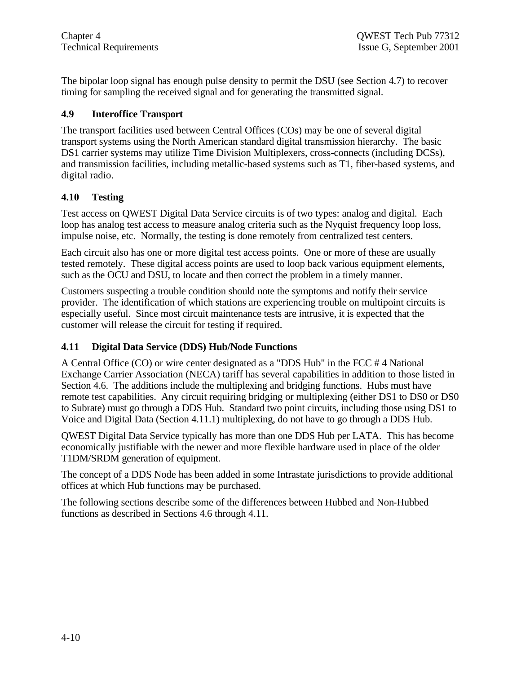The bipolar loop signal has enough pulse density to permit the DSU (see Section 4.7) to recover timing for sampling the received signal and for generating the transmitted signal.

# **4.9 Interoffice Transport**

The transport facilities used between Central Offices (COs) may be one of several digital transport systems using the North American standard digital transmission hierarchy. The basic DS1 carrier systems may utilize Time Division Multiplexers, cross-connects (including DCSs), and transmission facilities, including metallic-based systems such as T1, fiber-based systems, and digital radio.

# **4.10 Testing**

Test access on QWEST Digital Data Service circuits is of two types: analog and digital. Each loop has analog test access to measure analog criteria such as the Nyquist frequency loop loss, impulse noise, etc. Normally, the testing is done remotely from centralized test centers.

Each circuit also has one or more digital test access points. One or more of these are usually tested remotely. These digital access points are used to loop back various equipment elements, such as the OCU and DSU, to locate and then correct the problem in a timely manner.

Customers suspecting a trouble condition should note the symptoms and notify their service provider. The identification of which stations are experiencing trouble on multipoint circuits is especially useful. Since most circuit maintenance tests are intrusive, it is expected that the customer will release the circuit for testing if required.

# **4.11 Digital Data Service (DDS) Hub/Node Functions**

A Central Office (CO) or wire center designated as a "DDS Hub" in the FCC # 4 National Exchange Carrier Association (NECA) tariff has several capabilities in addition to those listed in Section 4.6. The additions include the multiplexing and bridging functions. Hubs must have remote test capabilities. Any circuit requiring bridging or multiplexing (either DS1 to DS0 or DS0 to Subrate) must go through a DDS Hub. Standard two point circuits, including those using DS1 to Voice and Digital Data (Section 4.11.1) multiplexing, do not have to go through a DDS Hub.

QWEST Digital Data Service typically has more than one DDS Hub per LATA. This has become economically justifiable with the newer and more flexible hardware used in place of the older T1DM/SRDM generation of equipment.

The concept of a DDS Node has been added in some Intrastate jurisdictions to provide additional offices at which Hub functions may be purchased.

The following sections describe some of the differences between Hubbed and Non-Hubbed functions as described in Sections 4.6 through 4.11.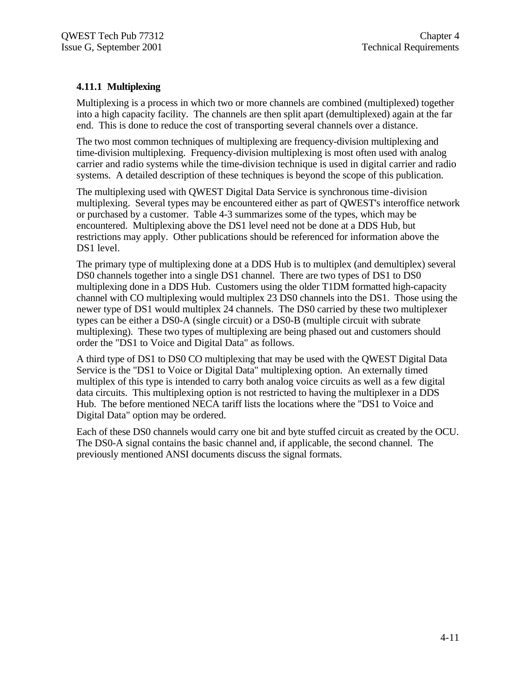# **4.11.1 Multiplexing**

Multiplexing is a process in which two or more channels are combined (multiplexed) together into a high capacity facility. The channels are then split apart (demultiplexed) again at the far end. This is done to reduce the cost of transporting several channels over a distance.

The two most common techniques of multiplexing are frequency-division multiplexing and time-division multiplexing. Frequency-division multiplexing is most often used with analog carrier and radio systems while the time-division technique is used in digital carrier and radio systems. A detailed description of these techniques is beyond the scope of this publication.

The multiplexing used with QWEST Digital Data Service is synchronous time-division multiplexing. Several types may be encountered either as part of QWEST's interoffice network or purchased by a customer. Table 4-3 summarizes some of the types, which may be encountered. Multiplexing above the DS1 level need not be done at a DDS Hub, but restrictions may apply. Other publications should be referenced for information above the DS1 level.

The primary type of multiplexing done at a DDS Hub is to multiplex (and demultiplex) several DS0 channels together into a single DS1 channel. There are two types of DS1 to DS0 multiplexing done in a DDS Hub. Customers using the older T1DM formatted high-capacity channel with CO multiplexing would multiplex 23 DS0 channels into the DS1. Those using the newer type of DS1 would multiplex 24 channels. The DS0 carried by these two multiplexer types can be either a DS0-A (single circuit) or a DS0-B (multiple circuit with subrate multiplexing). These two types of multiplexing are being phased out and customers should order the "DS1 to Voice and Digital Data" as follows.

A third type of DS1 to DS0 CO multiplexing that may be used with the QWEST Digital Data Service is the "DS1 to Voice or Digital Data" multiplexing option. An externally timed multiplex of this type is intended to carry both analog voice circuits as well as a few digital data circuits. This multiplexing option is not restricted to having the multiplexer in a DDS Hub. The before mentioned NECA tariff lists the locations where the "DS1 to Voice and Digital Data" option may be ordered.

Each of these DS0 channels would carry one bit and byte stuffed circuit as created by the OCU. The DS0-A signal contains the basic channel and, if applicable, the second channel. The previously mentioned ANSI documents discuss the signal formats.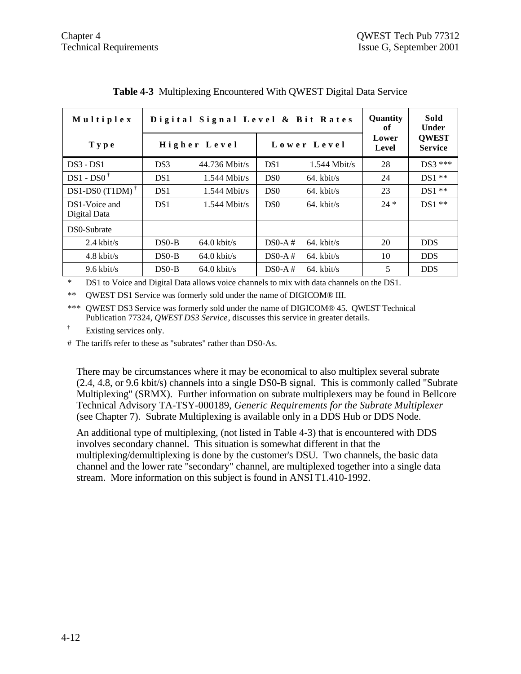| Multiplex                     | Digital Signal Level & Bit Rates |                       |                 |                | Quantity<br>оf | Sold<br>Under                  |  |
|-------------------------------|----------------------------------|-----------------------|-----------------|----------------|----------------|--------------------------------|--|
| Type                          | Higher Level                     |                       | Lower Level     |                | Lower<br>Level | <b>OWEST</b><br><b>Service</b> |  |
| $DS3 - DS1$                   | DS3                              | $44.736$ Mbit/s       | DS <sub>1</sub> | $1.544$ Mbit/s | 28             | $DS3$ ***                      |  |
| $DS1 - DSO^{\dagger}$         | DS <sub>1</sub>                  | $1.544$ Mbit/s        | D <sub>S0</sub> | $64.$ kbit/s   | 24             | $DS1**$                        |  |
| DS1-DS0 (T1DM) $^{\dagger}$   | DS <sub>1</sub>                  | $1.544$ Mbit/s        | D <sub>S0</sub> | $64.$ kbit/s   | 23             | $DS1**$                        |  |
| DS1-Voice and<br>Digital Data | DS <sub>1</sub>                  | $1.544$ Mbit/s        | DS <sub>0</sub> | $64.$ kbit/s   | $24 *$         | $DS1**$                        |  |
| DS0-Subrate                   |                                  |                       |                 |                |                |                                |  |
| $2.4$ kbit/s                  | $DS0-B$                          | $64.0 \text{ kbit/s}$ | $DS0-A#$        | $64.$ kbit/s   | 20             | <b>DDS</b>                     |  |
| $4.8 \text{ kbit/s}$          | $DSO-B$                          | $64.0 \text{ kbit/s}$ | $DS0-A#$        | $64.$ kbit/s   | 10             | <b>DDS</b>                     |  |
| $9.6$ kbit/s                  | $DS0-B$                          | $64.0 \text{ kbit/s}$ | $DS0-A#$        | $64.$ kbit/s   | 5              | <b>DDS</b>                     |  |

**Table 4-3** Multiplexing Encountered With QWEST Digital Data Service

\* DS1 to Voice and Digital Data allows voice channels to mix with data channels on the DS1.

\*\* QWEST DS1 Service was formerly sold under the name of DIGICOM® III.

\*\*\* QWEST DS3 Service was formerly sold under the name of DIGICOM® 45. QWEST Technical Publication 77324, *QWEST DS3 Service*, discusses this service in greater details.

† Existing services only.

# The tariffs refer to these as "subrates" rather than DS0-As.

There may be circumstances where it may be economical to also multiplex several subrate (2.4, 4.8, or 9.6 kbit/s) channels into a single DS0-B signal. This is commonly called "Subrate Multiplexing" (SRMX). Further information on subrate multiplexers may be found in Bellcore Technical Advisory TA-TSY-000189, *Generic Requirements for the Subrate Multiplexer* (see Chapter 7). Subrate Multiplexing is available only in a DDS Hub or DDS Node.

An additional type of multiplexing, (not listed in Table 4-3) that is encountered with DDS involves secondary channel. This situation is somewhat different in that the multiplexing/demultiplexing is done by the customer's DSU. Two channels, the basic data channel and the lower rate "secondary" channel, are multiplexed together into a single data stream. More information on this subject is found in ANSI T1.410-1992.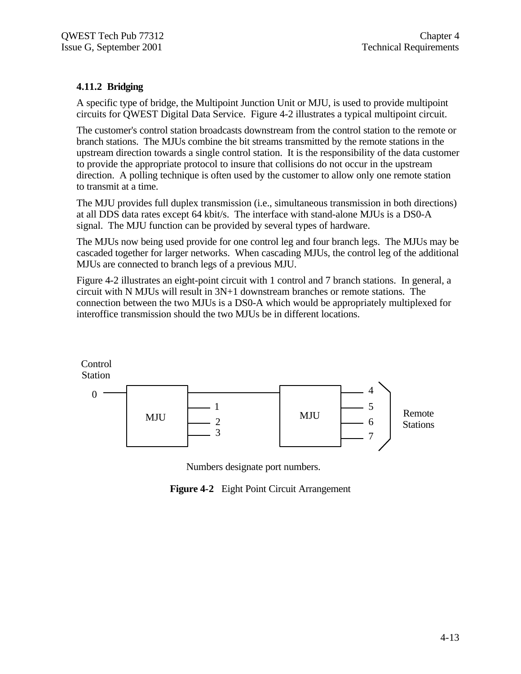# **4.11.2 Bridging**

A specific type of bridge, the Multipoint Junction Unit or MJU, is used to provide multipoint circuits for QWEST Digital Data Service. Figure 4-2 illustrates a typical multipoint circuit.

The customer's control station broadcasts downstream from the control station to the remote or branch stations. The MJUs combine the bit streams transmitted by the remote stations in the upstream direction towards a single control station. It is the responsibility of the data customer to provide the appropriate protocol to insure that collisions do not occur in the upstream direction. A polling technique is often used by the customer to allow only one remote station to transmit at a time.

The MJU provides full duplex transmission (i.e., simultaneous transmission in both directions) at all DDS data rates except 64 kbit/s. The interface with stand-alone MJUs is a DS0-A signal. The MJU function can be provided by several types of hardware.

The MJUs now being used provide for one control leg and four branch legs. The MJUs may be cascaded together for larger networks. When cascading MJUs, the control leg of the additional MJUs are connected to branch legs of a previous MJU.

Figure 4-2 illustrates an eight-point circuit with 1 control and 7 branch stations. In general, a circuit with N MJUs will result in 3N+1 downstream branches or remote stations. The connection between the two MJUs is a DS0-A which would be appropriately multiplexed for interoffice transmission should the two MJUs be in different locations.



Numbers designate port numbers.

**Figure 4-2** Eight Point Circuit Arrangement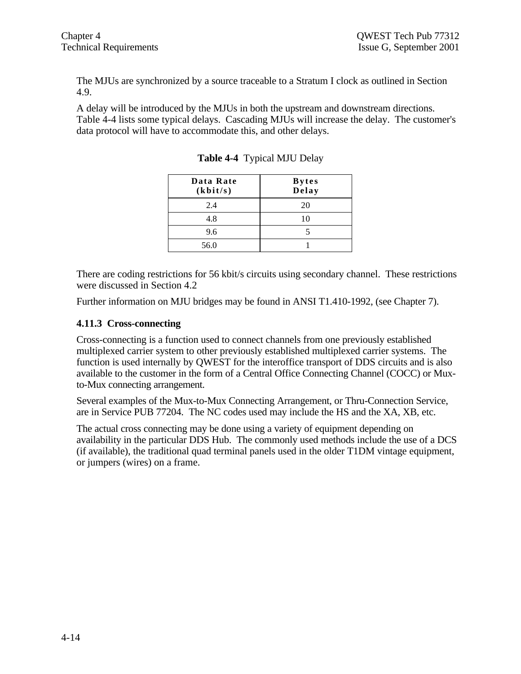The MJUs are synchronized by a source traceable to a Stratum I clock as outlined in Section 4.9.

A delay will be introduced by the MJUs in both the upstream and downstream directions. Table 4-4 lists some typical delays. Cascading MJUs will increase the delay. The customer's data protocol will have to accommodate this, and other delays.

| Data Rate<br>(kbit/s) | <b>Bytes</b><br>Delay |
|-----------------------|-----------------------|
| 2.4                   | 20                    |
| 4.8                   | 10                    |
| 9.6                   |                       |
| 56.0                  |                       |

**Table 4-4** Typical MJU Delay

There are coding restrictions for 56 kbit/s circuits using secondary channel. These restrictions were discussed in Section 4.2

Further information on MJU bridges may be found in ANSI T1.410-1992, (see Chapter 7).

# **4.11.3 Cross-connecting**

Cross-connecting is a function used to connect channels from one previously established multiplexed carrier system to other previously established multiplexed carrier systems. The function is used internally by QWEST for the interoffice transport of DDS circuits and is also available to the customer in the form of a Central Office Connecting Channel (COCC) or Muxto-Mux connecting arrangement.

Several examples of the Mux-to-Mux Connecting Arrangement, or Thru-Connection Service, are in Service PUB 77204. The NC codes used may include the HS and the XA, XB, etc.

The actual cross connecting may be done using a variety of equipment depending on availability in the particular DDS Hub. The commonly used methods include the use of a DCS (if available), the traditional quad terminal panels used in the older T1DM vintage equipment, or jumpers (wires) on a frame.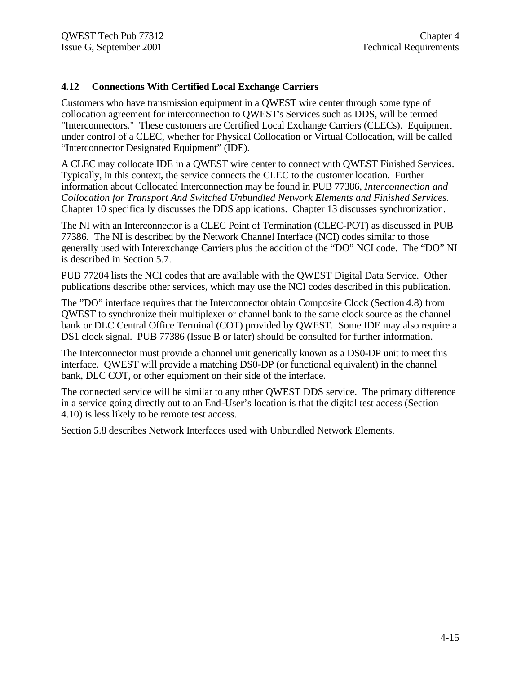# **4.12 Connections With Certified Local Exchange Carriers**

Customers who have transmission equipment in a QWEST wire center through some type of collocation agreement for interconnection to QWEST's Services such as DDS, will be termed "Interconnectors." These customers are Certified Local Exchange Carriers (CLECs). Equipment under control of a CLEC, whether for Physical Collocation or Virtual Collocation, will be called "Interconnector Designated Equipment" (IDE).

A CLEC may collocate IDE in a QWEST wire center to connect with QWEST Finished Services. Typically, in this context, the service connects the CLEC to the customer location. Further information about Collocated Interconnection may be found in PUB 77386, *Interconnection and Collocation for Transport And Switched Unbundled Network Elements and Finished Services.* Chapter 10 specifically discusses the DDS applications. Chapter 13 discusses synchronization.

The NI with an Interconnector is a CLEC Point of Termination (CLEC-POT) as discussed in PUB 77386. The NI is described by the Network Channel Interface (NCI) codes similar to those generally used with Interexchange Carriers plus the addition of the "DO" NCI code. The "DO" NI is described in Section 5.7.

PUB 77204 lists the NCI codes that are available with the QWEST Digital Data Service. Other publications describe other services, which may use the NCI codes described in this publication.

The "DO" interface requires that the Interconnector obtain Composite Clock (Section 4.8) from QWEST to synchronize their multiplexer or channel bank to the same clock source as the channel bank or DLC Central Office Terminal (COT) provided by QWEST. Some IDE may also require a DS1 clock signal. PUB 77386 (Issue B or later) should be consulted for further information.

The Interconnector must provide a channel unit generically known as a DS0-DP unit to meet this interface. QWEST will provide a matching DS0-DP (or functional equivalent) in the channel bank, DLC COT, or other equipment on their side of the interface.

The connected service will be similar to any other QWEST DDS service. The primary difference in a service going directly out to an End-User's location is that the digital test access (Section 4.10) is less likely to be remote test access.

Section 5.8 describes Network Interfaces used with Unbundled Network Elements.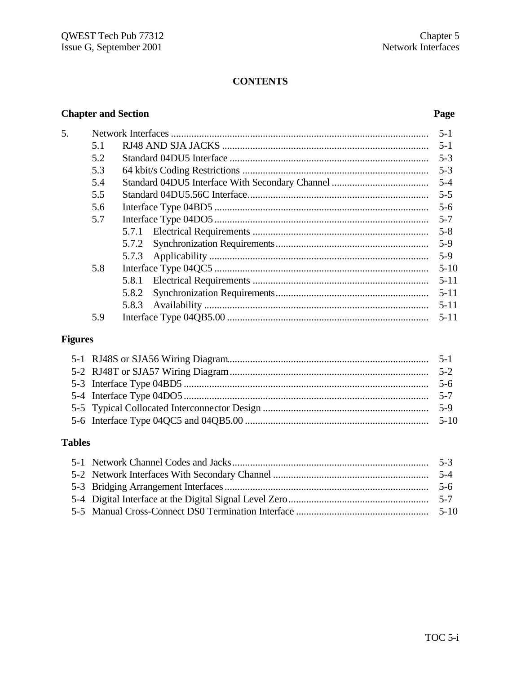# **CONTENTS**

# **Chapter and Section Page**

| 5. |     |       | $5-1$    |
|----|-----|-------|----------|
|    | 5.1 |       |          |
|    | 5.2 |       | $5-3$    |
|    | 5.3 |       | $5-3$    |
|    | 5.4 |       |          |
|    | 5.5 |       | $5 - 5$  |
|    | 5.6 |       |          |
|    | 5.7 |       | $5 - 7$  |
|    |     |       | $5 - 8$  |
|    |     |       |          |
|    |     |       | $5-9$    |
|    | 5.8 |       | $5 - 10$ |
|    |     | 5.8.1 | $5 - 11$ |
|    |     | 5.8.2 | $5 - 11$ |
|    |     | 5.8.3 | $5 - 11$ |
|    | 5.9 |       | $5 - 11$ |
|    |     |       |          |

# **Figures**

# **Tables**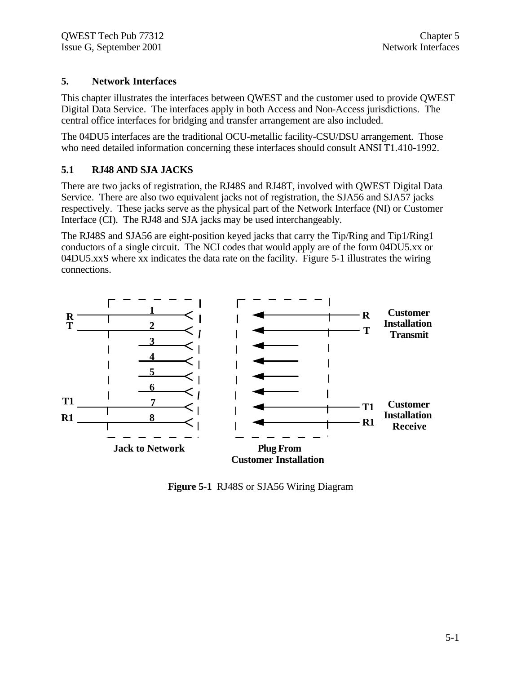# **5. Network Interfaces**

This chapter illustrates the interfaces between QWEST and the customer used to provide QWEST Digital Data Service. The interfaces apply in both Access and Non-Access jurisdictions. The central office interfaces for bridging and transfer arrangement are also included.

The 04DU5 interfaces are the traditional OCU-metallic facility-CSU/DSU arrangement. Those who need detailed information concerning these interfaces should consult ANSI T1.410-1992.

# **5.1 RJ48 AND SJA JACKS**

There are two jacks of registration, the RJ48S and RJ48T, involved with QWEST Digital Data Service. There are also two equivalent jacks not of registration, the SJA56 and SJA57 jacks respectively. These jacks serve as the physical part of the Network Interface (NI) or Customer Interface (CI). The RJ48 and SJA jacks may be used interchangeably.

The RJ48S and SJA56 are eight-position keyed jacks that carry the Tip/Ring and Tip1/Ring1 conductors of a single circuit. The NCI codes that would apply are of the form 04DU5.xx or 04DU5.xxS where xx indicates the data rate on the facility. Figure 5-1 illustrates the wiring connections.



**Figure 5-1** RJ48S or SJA56 Wiring Diagram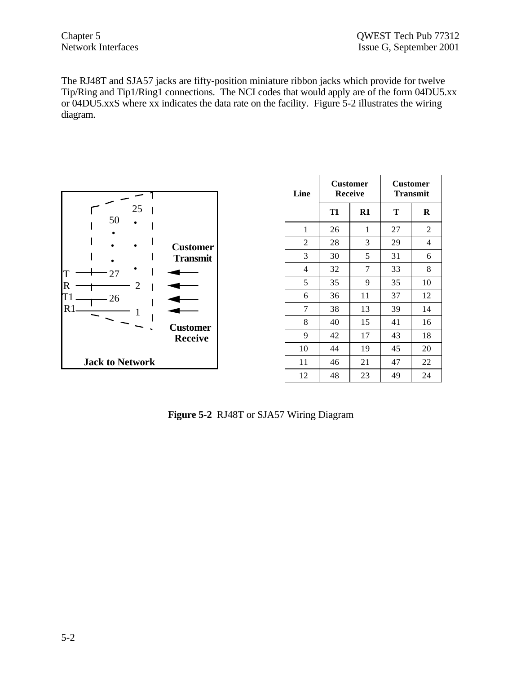The RJ48T and SJA57 jacks are fifty-position miniature ribbon jacks which provide for twelve Tip/Ring and Tip1/Ring1 connections. The NCI codes that would apply are of the form 04DU5.xx or 04DU5.xxS where xx indicates the data rate on the facility. Figure 5-2 illustrates the wiring diagram.



| Line           | <b>Customer</b><br><b>Receive</b> |               |    | <b>Customer</b><br>Transmit |
|----------------|-----------------------------------|---------------|----|-----------------------------|
|                | T <sub>1</sub>                    | $\mathbf{R}1$ | Т  | R                           |
| 1              | 26                                | 1             | 27 | $\overline{c}$              |
| $\overline{c}$ | 28                                | 3             | 29 | 4                           |
| 3              | 30                                | 5             | 31 | 6                           |
| 4              | 32                                | 7             | 33 | 8                           |
| 5              | 35                                | 9             | 35 | 10                          |
| 6              | 36                                | 11            | 37 | 12                          |
| 7              | 38                                | 13            | 39 | 14                          |
| 8              | 40                                | 15            | 41 | 16                          |
| 9              | 42                                | 17            | 43 | 18                          |
| 10             | 44                                | 19            | 45 | 20                          |
| 11             | 46                                | 21            | 47 | 22                          |
| 12             | 48                                | 23            | 49 | 24                          |

**Figure 5-2** RJ48T or SJA57 Wiring Diagram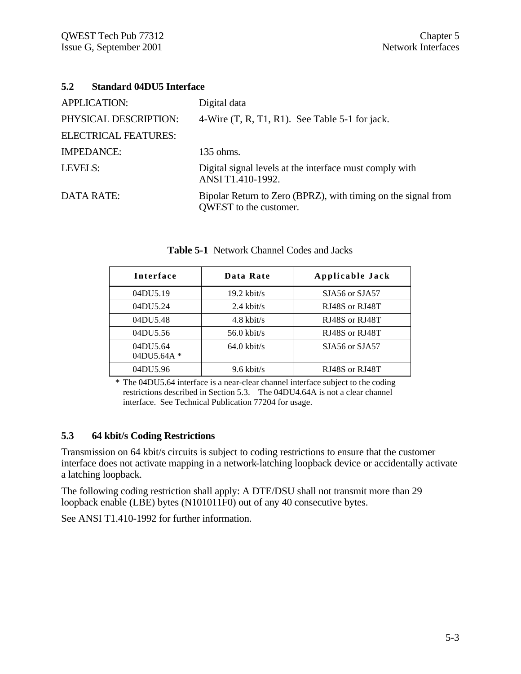# **5.2 Standard 04DU5 Interface**

| <b>APPLICATION:</b>         | Digital data                                                                            |
|-----------------------------|-----------------------------------------------------------------------------------------|
| PHYSICAL DESCRIPTION:       | 4-Wire (T, R, T1, R1). See Table 5-1 for jack.                                          |
| <b>ELECTRICAL FEATURES:</b> |                                                                                         |
| <b>IMPEDANCE:</b>           | 135 ohms.                                                                               |
| LEVELS:                     | Digital signal levels at the interface must comply with<br>ANSI T1.410-1992.            |
| <b>DATA RATE:</b>           | Bipolar Return to Zero (BPRZ), with timing on the signal from<br>QWEST to the customer. |

| Interface               | Data Rate             | Applicable Jack |
|-------------------------|-----------------------|-----------------|
| 04DU5.19                | $19.2$ kbit/s         | SJA56 or SJA57  |
| 04DU5.24                | $2.4$ kbit/s          | RJ48S or RJ48T  |
| 04DU5.48                | $4.8 \text{ kbit/s}$  | RJ48S or RJ48T  |
| 04DU5.56                | $56.0$ kbit/s         | RJ48S or RJ48T  |
| 04DU5.64<br>04DU5.64A * | $64.0 \text{ kbit/s}$ | SJA56 or SJA57  |
| 04DU5.96                | $9.6$ kbit/s          | RJ48S or RJ48T  |

**Table 5-1** Network Channel Codes and Jacks

\* The 04DU5.64 interface is a near-clear channel interface subject to the coding restrictions described in Section 5.3. The 04DU4.64A is not a clear channel interface. See Technical Publication 77204 for usage.

# **5.3 64 kbit/s Coding Restrictions**

Transmission on 64 kbit/s circuits is subject to coding restrictions to ensure that the customer interface does not activate mapping in a network-latching loopback device or accidentally activate a latching loopback.

The following coding restriction shall apply: A DTE/DSU shall not transmit more than 29 loopback enable (LBE) bytes (N101011F0) out of any 40 consecutive bytes.

See ANSI T1.410-1992 for further information.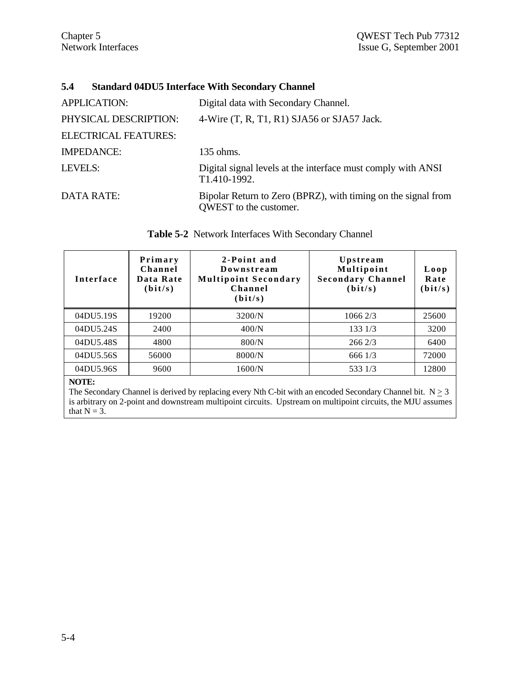# **5.4 Standard 04DU5 Interface With Secondary Channel**

| <b>APPLICATION:</b>         | Digital data with Secondary Channel.                                                    |
|-----------------------------|-----------------------------------------------------------------------------------------|
| PHYSICAL DESCRIPTION:       | 4-Wire $(T, R, T1, R1)$ SJA56 or SJA57 Jack.                                            |
| <b>ELECTRICAL FEATURES:</b> |                                                                                         |
| <b>IMPEDANCE:</b>           | 135 ohms.                                                                               |
| LEVELS:                     | Digital signal levels at the interface must comply with ANSI<br>T1.410-1992.            |
| <b>DATA RATE:</b>           | Bipolar Return to Zero (BPRZ), with timing on the signal from<br>QWEST to the customer. |

| <b>Interface</b> | Primary<br>Channel<br>Data Rate<br>(bit/s) | 2-Point and<br>Downstream<br><b>Multipoint Secondary</b><br>Channel<br>(bit/s) | Upstream<br>Multipoint<br><b>Secondary Channel</b><br>(bit/s) | Loop<br>Rate<br>(bit/s) |
|------------------|--------------------------------------------|--------------------------------------------------------------------------------|---------------------------------------------------------------|-------------------------|
| 04DU5.19S        | 19200                                      | 3200/N                                                                         | 10662/3                                                       | 25600                   |
| 04DU5.24S        | 2400                                       | 400/N                                                                          | 133 1/3                                                       | 3200                    |
| 04DU5.48S        | 4800                                       | 800/N                                                                          | 2662/3                                                        | 6400                    |
| 04DU5.56S        | 56000                                      | 8000/N                                                                         | 6661/3                                                        | 72000                   |
| 04DU5.96S        | 9600                                       | 1600/N                                                                         | 533 1/3                                                       | 12800                   |

| Table 5-2 Network Interfaces With Secondary Channel |  |  |  |  |  |
|-----------------------------------------------------|--|--|--|--|--|
|-----------------------------------------------------|--|--|--|--|--|

### **NOTE:**

The Secondary Channel is derived by replacing every Nth C-bit with an encoded Secondary Channel bit.  $N \ge 3$ is arbitrary on 2-point and downstream multipoint circuits. Upstream on multipoint circuits, the MJU assumes that  $N = 3$ .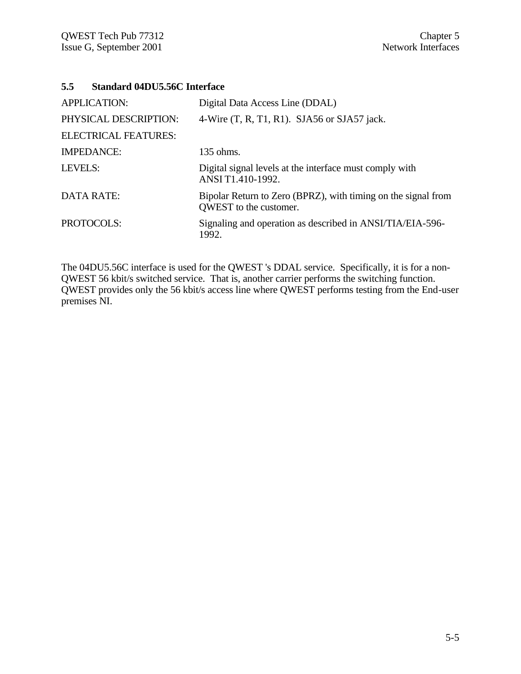# **5.5 Standard 04DU5.56C Interface**

| <b>APPLICATION:</b>         | Digital Data Access Line (DDAL)                                                         |
|-----------------------------|-----------------------------------------------------------------------------------------|
| PHYSICAL DESCRIPTION:       | 4-Wire $(T, R, T1, R1)$ . SJA56 or SJA57 jack.                                          |
| <b>ELECTRICAL FEATURES:</b> |                                                                                         |
| <b>IMPEDANCE:</b>           | 135 ohms.                                                                               |
| LEVELS:                     | Digital signal levels at the interface must comply with<br>ANSI T1.410-1992.            |
| <b>DATA RATE:</b>           | Bipolar Return to Zero (BPRZ), with timing on the signal from<br>QWEST to the customer. |
| PROTOCOLS:                  | Signaling and operation as described in ANSI/TIA/EIA-596-<br>1992.                      |

The 04DU5.56C interface is used for the QWEST 's DDAL service. Specifically, it is for a non-QWEST 56 kbit/s switched service. That is, another carrier performs the switching function. QWEST provides only the 56 kbit/s access line where QWEST performs testing from the End-user premises NI.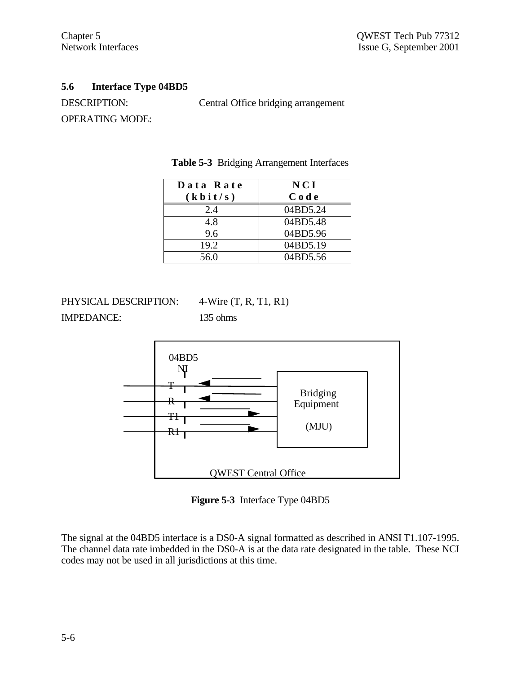# **5.6 Interface Type 04BD5**

DESCRIPTION: Central Office bridging arrangement OPERATING MODE:

| Data Rate             | <b>NCI</b> |
|-----------------------|------------|
| $(k \, \text{bit/s})$ | Code       |
| 2.4                   | 04BD5.24   |
| 4.8                   | 04BD5.48   |
| 9.6                   | 04BD5.96   |
| 19.2                  | 04BD5.19   |
| 56.0                  | 04BD5.56   |

**Table 5-3** Bridging Arrangement Interfaces

PHYSICAL DESCRIPTION: 4-Wire (T, R, T1, R1) IMPEDANCE: 135 ohms



**Figure 5-3** Interface Type 04BD5

The signal at the 04BD5 interface is a DS0-A signal formatted as described in ANSI T1.107-1995. The channel data rate imbedded in the DS0-A is at the data rate designated in the table. These NCI codes may not be used in all jurisdictions at this time.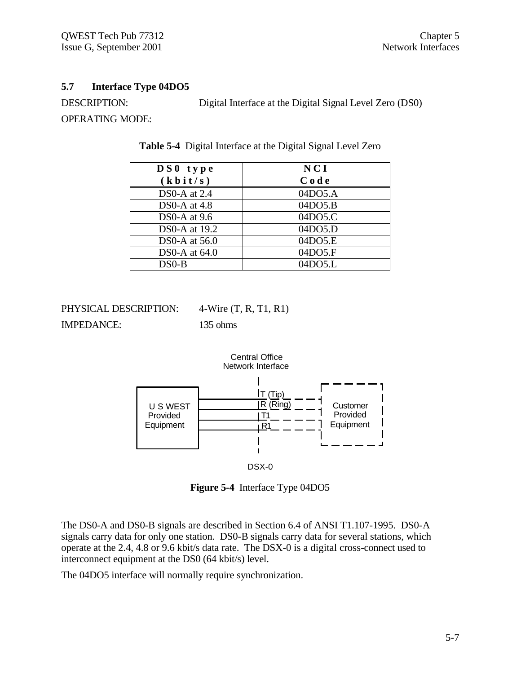# **5.7 Interface Type 04DO5**

DESCRIPTION: Digital Interface at the Digital Signal Level Zero (DS0) OPERATING MODE:

| $DS0$ type              | NCI     |
|-------------------------|---------|
| $(k \, \textbf{bit/s})$ | Code    |
| DS0-A at 2.4            | 04DO5.A |
| DS0-A at 4.8            | 04DO5.B |
| DS0-A at $9.6$          | 04DO5.C |
| DS0-A at 19.2           | 04DO5.D |
| DS0-A at $56.0$         | 04DO5.E |
| DS0-A at $64.0$         | 04DO5.F |
| $DS0-B$                 | 04DO5.L |

**Table 5-4** Digital Interface at the Digital Signal Level Zero

PHYSICAL DESCRIPTION: 4-Wire (T, R, T1, R1) IMPEDANCE: 135 ohms



DSX-0

**Figure 5-4** Interface Type 04DO5

The DS0-A and DS0-B signals are described in Section 6.4 of ANSI T1.107-1995. DS0-A signals carry data for only one station. DS0-B signals carry data for several stations, which operate at the 2.4, 4.8 or 9.6 kbit/s data rate. The DSX-0 is a digital cross-connect used to interconnect equipment at the DS0 (64 kbit/s) level.

The 04DO5 interface will normally require synchronization.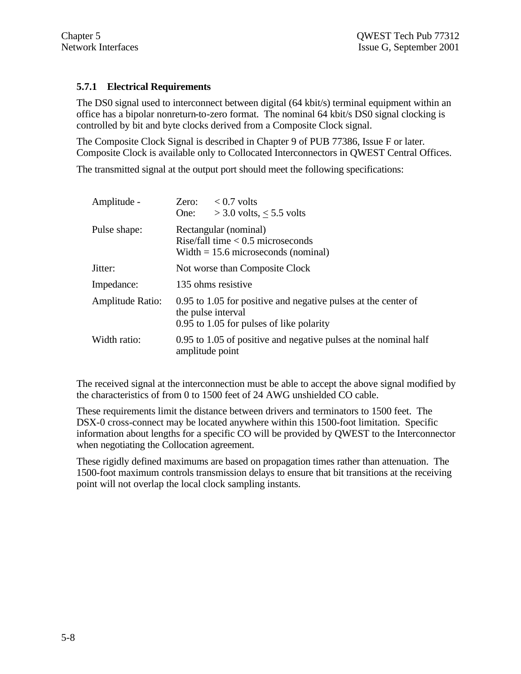# **5.7.1 Electrical Requirements**

The DS0 signal used to interconnect between digital (64 kbit/s) terminal equipment within an office has a bipolar nonreturn-to-zero format. The nominal 64 kbit/s DS0 signal clocking is controlled by bit and byte clocks derived from a Composite Clock signal.

The Composite Clock Signal is described in Chapter 9 of PUB 77386, Issue F or later*.* Composite Clock is available only to Collocated Interconnectors in QWEST Central Offices.

The transmitted signal at the output port should meet the following specifications:

| Amplitude -                     | Zero:<br>One:                                                                                                                    | $< 0.7$ volts<br>$>$ 3.0 volts, $<$ 5.5 volts                    |  |
|---------------------------------|----------------------------------------------------------------------------------------------------------------------------------|------------------------------------------------------------------|--|
| Pulse shape:                    | Rectangular (nominal)<br>Rise/fall time $< 0.5$ microseconds<br>Width $= 15.6$ microseconds (nominal)                            |                                                                  |  |
| Jitter:                         | Not worse than Composite Clock                                                                                                   |                                                                  |  |
| Impedance:                      | 135 ohms resistive                                                                                                               |                                                                  |  |
| Amplitude Ratio:                | 0.95 to 1.05 for positive and negative pulses at the center of<br>the pulse interval<br>0.95 to 1.05 for pulses of like polarity |                                                                  |  |
| Width ratio:<br>amplitude point |                                                                                                                                  | 0.95 to 1.05 of positive and negative pulses at the nominal half |  |

The received signal at the interconnection must be able to accept the above signal modified by the characteristics of from 0 to 1500 feet of 24 AWG unshielded CO cable.

These requirements limit the distance between drivers and terminators to 1500 feet. The DSX-0 cross-connect may be located anywhere within this 1500-foot limitation. Specific information about lengths for a specific CO will be provided by QWEST to the Interconnector when negotiating the Collocation agreement.

These rigidly defined maximums are based on propagation times rather than attenuation. The 1500-foot maximum controls transmission delays to ensure that bit transitions at the receiving point will not overlap the local clock sampling instants.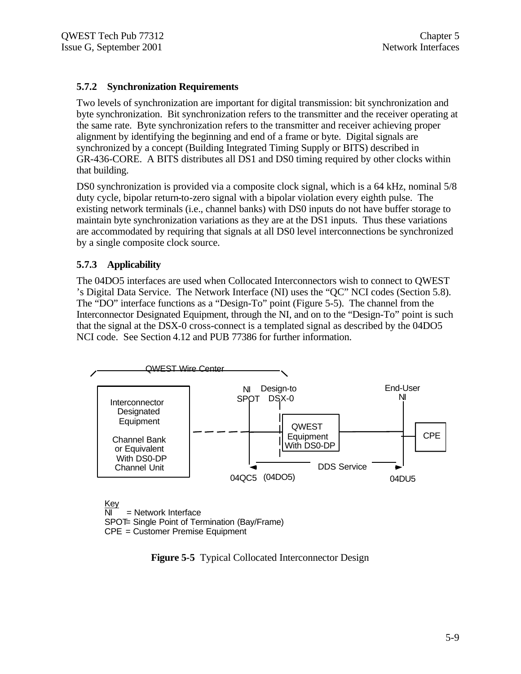# **5.7.2 Synchronization Requirements**

Two levels of synchronization are important for digital transmission: bit synchronization and byte synchronization. Bit synchronization refers to the transmitter and the receiver operating at the same rate. Byte synchronization refers to the transmitter and receiver achieving proper alignment by identifying the beginning and end of a frame or byte. Digital signals are synchronized by a concept (Building Integrated Timing Supply or BITS) described in GR-436-CORE. A BITS distributes all DS1 and DS0 timing required by other clocks within that building.

DS0 synchronization is provided via a composite clock signal, which is a 64 kHz, nominal 5/8 duty cycle, bipolar return-to-zero signal with a bipolar violation every eighth pulse. The existing network terminals (i.e., channel banks) with DS0 inputs do not have buffer storage to maintain byte synchronization variations as they are at the DS1 inputs. Thus these variations are accommodated by requiring that signals at all DS0 level interconnections be synchronized by a single composite clock source.

# **5.7.3 Applicability**

The 04DO5 interfaces are used when Collocated Interconnectors wish to connect to QWEST 's Digital Data Service. The Network Interface (NI) uses the "QC" NCI codes (Section 5.8). The "DO" interface functions as a "Design-To" point (Figure 5-5). The channel from the Interconnector Designated Equipment, through the NI, and on to the "Design-To" point is such that the signal at the DSX-0 cross-connect is a templated signal as described by the 04DO5 NCI code. See Section 4.12 and PUB 77386 for further information.



CPE = Customer Premise Equipment

**Figure 5-5** Typical Collocated Interconnector Design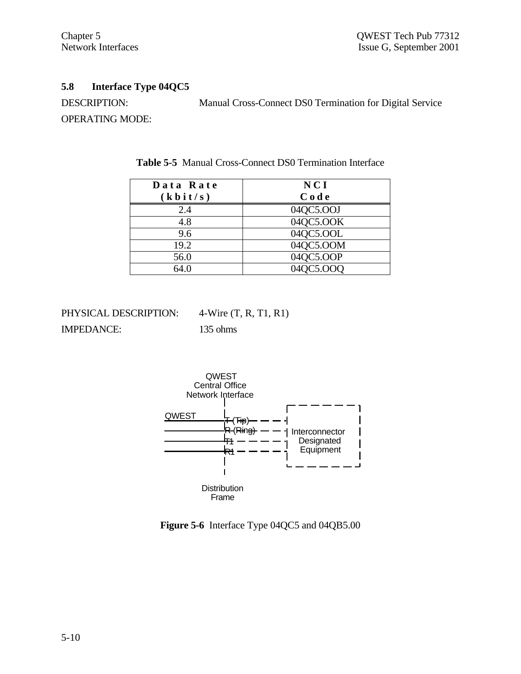# **5.8 Interface Type 04QC5**

DESCRIPTION: Manual Cross-Connect DS0 Termination for Digital Service OPERATING MODE:

| Data Rate             | <b>NCI</b> |
|-----------------------|------------|
| $(k \, \text{bit/s})$ | Code       |
| 2.4                   | 04QC5.OOJ  |
| 4.8                   | 04QC5.OOK  |
| 9.6                   | 04QC5.OOL  |
| 19.2                  | 04QC5.OOM  |
| 56.0                  | 04QC5.OOP  |
| 64.0                  | 04QC5.OOQ  |

**Table 5-5** Manual Cross-Connect DS0 Termination Interface

| PHYSICAL DESCRIPTION: | 4-Wire $(T, R, T1, R1)$ |
|-----------------------|-------------------------|
| <b>IMPEDANCE:</b>     | $135$ ohms              |



**Figure 5-6** Interface Type 04QC5 and 04QB5.00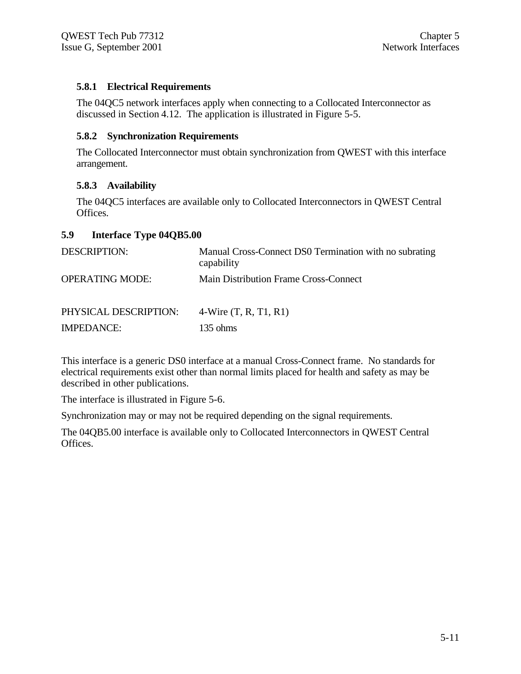# **5.8.1 Electrical Requirements**

The 04QC5 network interfaces apply when connecting to a Collocated Interconnector as discussed in Section 4.12. The application is illustrated in Figure 5-5.

# **5.8.2 Synchronization Requirements**

The Collocated Interconnector must obtain synchronization from QWEST with this interface arrangement.

# **5.8.3 Availability**

The 04QC5 interfaces are available only to Collocated Interconnectors in QWEST Central Offices.

# **5.9 Interface Type 04QB5.00**

| <b>DESCRIPTION:</b>    | Manual Cross-Connect DS0 Termination with no subrating<br>capability |  |  |
|------------------------|----------------------------------------------------------------------|--|--|
| <b>OPERATING MODE:</b> | <b>Main Distribution Frame Cross-Connect</b>                         |  |  |
| PHYSICAL DESCRIPTION:  | 4-Wire $(T, R, T1, R1)$                                              |  |  |
| <b>IMPEDANCE:</b>      | $135 \text{ ohms}$                                                   |  |  |

This interface is a generic DS0 interface at a manual Cross-Connect frame. No standards for electrical requirements exist other than normal limits placed for health and safety as may be described in other publications.

The interface is illustrated in Figure 5-6.

Synchronization may or may not be required depending on the signal requirements.

The 04QB5.00 interface is available only to Collocated Interconnectors in QWEST Central Offices.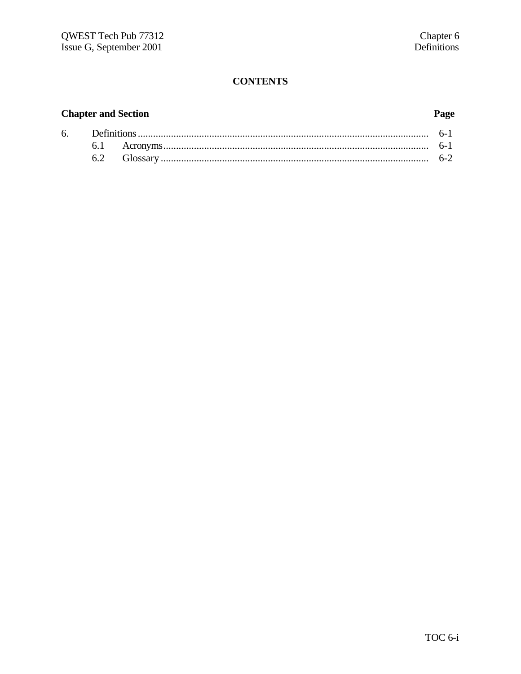# **CONTENTS**

# **Chapter and Section**

# Page

| 6. |  |  |
|----|--|--|
|    |  |  |
|    |  |  |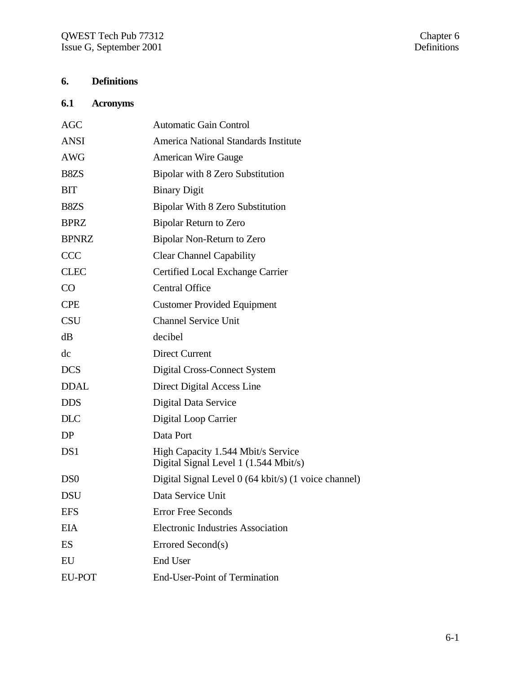# **6. Definitions**

# **6.1 Acronyms**

| AGC             | <b>Automatic Gain Control</b>                                               |
|-----------------|-----------------------------------------------------------------------------|
| <b>ANSI</b>     | <b>America National Standards Institute</b>                                 |
| <b>AWG</b>      | <b>American Wire Gauge</b>                                                  |
| B8ZS            | Bipolar with 8 Zero Substitution                                            |
| <b>BIT</b>      | <b>Binary Digit</b>                                                         |
| B8ZS            | <b>Bipolar With 8 Zero Substitution</b>                                     |
| <b>BPRZ</b>     | Bipolar Return to Zero                                                      |
| <b>BPNRZ</b>    | Bipolar Non-Return to Zero                                                  |
| <b>CCC</b>      | <b>Clear Channel Capability</b>                                             |
| <b>CLEC</b>     | Certified Local Exchange Carrier                                            |
| CO              | <b>Central Office</b>                                                       |
| <b>CPE</b>      | <b>Customer Provided Equipment</b>                                          |
| <b>CSU</b>      | <b>Channel Service Unit</b>                                                 |
| dB              | decibel                                                                     |
| dc              | <b>Direct Current</b>                                                       |
| <b>DCS</b>      | Digital Cross-Connect System                                                |
| <b>DDAL</b>     | Direct Digital Access Line                                                  |
| <b>DDS</b>      | Digital Data Service                                                        |
| <b>DLC</b>      | Digital Loop Carrier                                                        |
| DP              | Data Port                                                                   |
| DS1             | High Capacity 1.544 Mbit/s Service<br>Digital Signal Level 1 (1.544 Mbit/s) |
| D <sub>S0</sub> | Digital Signal Level 0 (64 kbit/s) (1 voice channel)                        |
| <b>DSU</b>      | Data Service Unit                                                           |
| <b>EFS</b>      | <b>Error Free Seconds</b>                                                   |
| <b>EIA</b>      | <b>Electronic Industries Association</b>                                    |
| ES              | Errored Second(s)                                                           |
| EU              | End User                                                                    |
| <b>EU-POT</b>   | <b>End-User-Point of Termination</b>                                        |
|                 |                                                                             |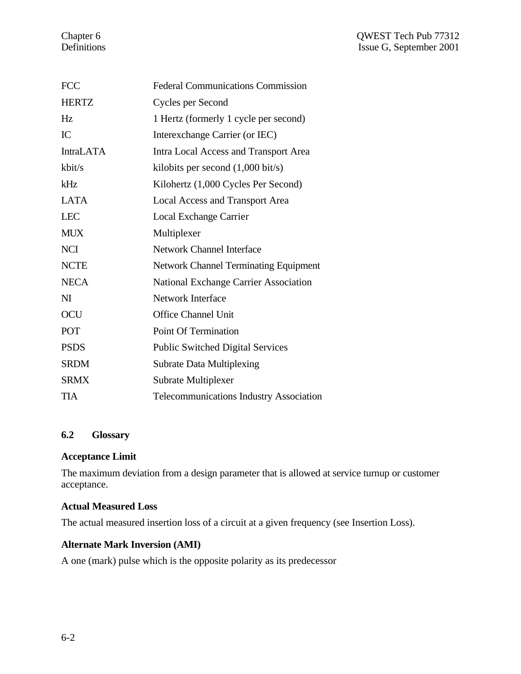| <b>FCC</b>       | <b>Federal Communications Commission</b>     |
|------------------|----------------------------------------------|
| <b>HERTZ</b>     | Cycles per Second                            |
| Hz               | 1 Hertz (formerly 1 cycle per second)        |
| IC               | Interexchange Carrier (or IEC)               |
| <b>IntraLATA</b> | Intra Local Access and Transport Area        |
| kbit/s           | kilobits per second $(1,000 \text{ bit/s})$  |
| kHz              | Kilohertz (1,000 Cycles Per Second)          |
| <b>LATA</b>      | <b>Local Access and Transport Area</b>       |
| <b>LEC</b>       | Local Exchange Carrier                       |
| <b>MUX</b>       | Multiplexer                                  |
| <b>NCI</b>       | <b>Network Channel Interface</b>             |
| <b>NCTE</b>      | <b>Network Channel Terminating Equipment</b> |
| <b>NECA</b>      | National Exchange Carrier Association        |
| N <sub>I</sub>   | <b>Network Interface</b>                     |
| <b>OCU</b>       | <b>Office Channel Unit</b>                   |
| POT              | Point Of Termination                         |
| <b>PSDS</b>      | <b>Public Switched Digital Services</b>      |
| <b>SRDM</b>      | <b>Subrate Data Multiplexing</b>             |
| <b>SRMX</b>      | <b>Subrate Multiplexer</b>                   |
| <b>TIA</b>       | Telecommunications Industry Association      |

# **6.2 Glossary**

# **Acceptance Limit**

The maximum deviation from a design parameter that is allowed at service turnup or customer acceptance.

# **Actual Measured Loss**

The actual measured insertion loss of a circuit at a given frequency (see Insertion Loss).

# **Alternate Mark Inversion (AMI)**

A one (mark) pulse which is the opposite polarity as its predecessor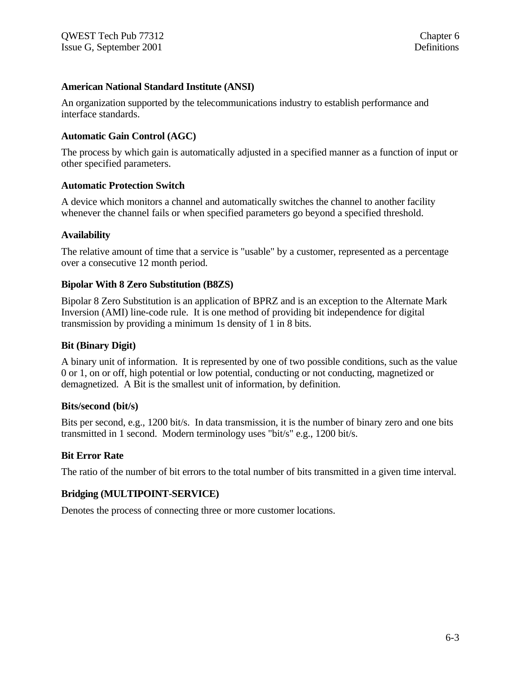## **American National Standard Institute (ANSI)**

An organization supported by the telecommunications industry to establish performance and interface standards.

# **Automatic Gain Control (AGC)**

The process by which gain is automatically adjusted in a specified manner as a function of input or other specified parameters.

### **Automatic Protection Switch**

A device which monitors a channel and automatically switches the channel to another facility whenever the channel fails or when specified parameters go beyond a specified threshold.

# **Availability**

The relative amount of time that a service is "usable" by a customer, represented as a percentage over a consecutive 12 month period.

# **Bipolar With 8 Zero Substitution (B8ZS)**

Bipolar 8 Zero Substitution is an application of BPRZ and is an exception to the Alternate Mark Inversion (AMI) line-code rule. It is one method of providing bit independence for digital transmission by providing a minimum 1s density of 1 in 8 bits.

### **Bit (Binary Digit)**

A binary unit of information. It is represented by one of two possible conditions, such as the value 0 or 1, on or off, high potential or low potential, conducting or not conducting, magnetized or demagnetized. A Bit is the smallest unit of information, by definition.

### **Bits/second (bit/s)**

Bits per second, e.g., 1200 bit/s. In data transmission, it is the number of binary zero and one bits transmitted in 1 second. Modern terminology uses "bit/s" e.g., 1200 bit/s.

### **Bit Error Rate**

The ratio of the number of bit errors to the total number of bits transmitted in a given time interval.

# **Bridging (MULTIPOINT-SERVICE)**

Denotes the process of connecting three or more customer locations.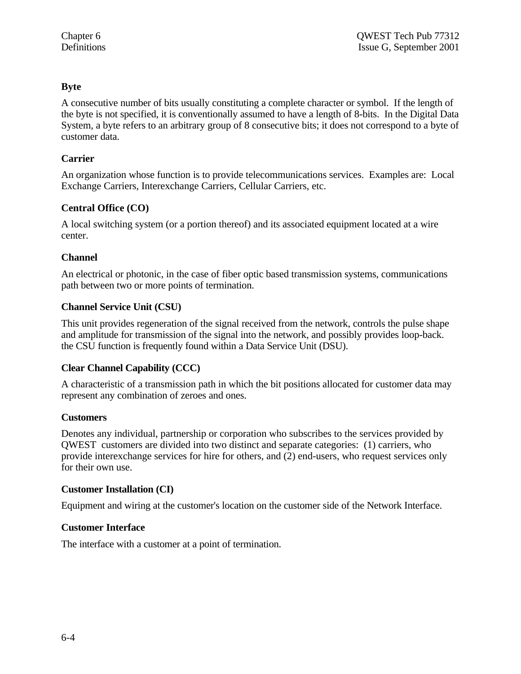# **Byte**

A consecutive number of bits usually constituting a complete character or symbol. If the length of the byte is not specified, it is conventionally assumed to have a length of 8-bits. In the Digital Data System, a byte refers to an arbitrary group of 8 consecutive bits; it does not correspond to a byte of customer data.

# **Carrier**

An organization whose function is to provide telecommunications services. Examples are: Local Exchange Carriers, Interexchange Carriers, Cellular Carriers, etc.

# **Central Office (CO)**

A local switching system (or a portion thereof) and its associated equipment located at a wire center.

# **Channel**

An electrical or photonic, in the case of fiber optic based transmission systems, communications path between two or more points of termination.

# **Channel Service Unit (CSU)**

This unit provides regeneration of the signal received from the network, controls the pulse shape and amplitude for transmission of the signal into the network, and possibly provides loop-back. the CSU function is frequently found within a Data Service Unit (DSU).

# **Clear Channel Capability (CCC)**

A characteristic of a transmission path in which the bit positions allocated for customer data may represent any combination of zeroes and ones.

### **Customers**

Denotes any individual, partnership or corporation who subscribes to the services provided by QWEST customers are divided into two distinct and separate categories: (1) carriers, who provide interexchange services for hire for others, and (2) end-users, who request services only for their own use.

# **Customer Installation (CI)**

Equipment and wiring at the customer's location on the customer side of the Network Interface.

### **Customer Interface**

The interface with a customer at a point of termination.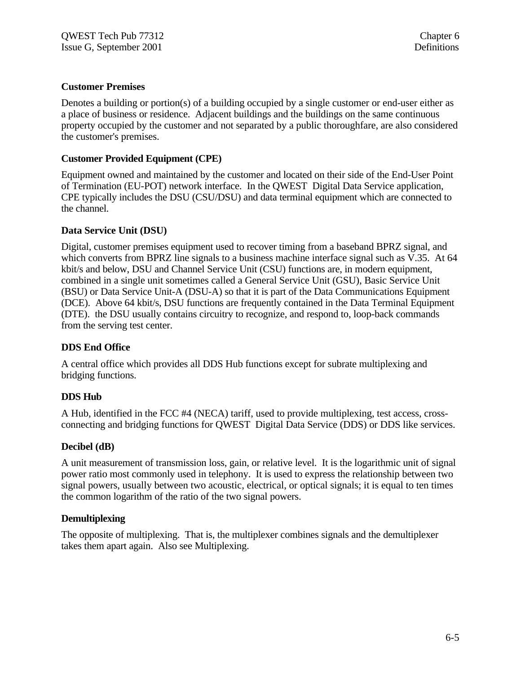# **Customer Premises**

Denotes a building or portion(s) of a building occupied by a single customer or end-user either as a place of business or residence. Adjacent buildings and the buildings on the same continuous property occupied by the customer and not separated by a public thoroughfare, are also considered the customer's premises.

# **Customer Provided Equipment (CPE)**

Equipment owned and maintained by the customer and located on their side of the End-User Point of Termination (EU-POT) network interface. In the QWEST Digital Data Service application, CPE typically includes the DSU (CSU/DSU) and data terminal equipment which are connected to the channel.

# **Data Service Unit (DSU)**

Digital, customer premises equipment used to recover timing from a baseband BPRZ signal, and which converts from BPRZ line signals to a business machine interface signal such as V.35. At 64 kbit/s and below, DSU and Channel Service Unit (CSU) functions are, in modern equipment, combined in a single unit sometimes called a General Service Unit (GSU), Basic Service Unit (BSU) or Data Service Unit-A (DSU-A) so that it is part of the Data Communications Equipment (DCE). Above 64 kbit/s, DSU functions are frequently contained in the Data Terminal Equipment (DTE). the DSU usually contains circuitry to recognize, and respond to, loop-back commands from the serving test center.

### **DDS End Office**

A central office which provides all DDS Hub functions except for subrate multiplexing and bridging functions.

### **DDS Hub**

A Hub, identified in the FCC #4 (NECA) tariff, used to provide multiplexing, test access, crossconnecting and bridging functions for QWEST Digital Data Service (DDS) or DDS like services.

# **Decibel (dB)**

A unit measurement of transmission loss, gain, or relative level. It is the logarithmic unit of signal power ratio most commonly used in telephony. It is used to express the relationship between two signal powers, usually between two acoustic, electrical, or optical signals; it is equal to ten times the common logarithm of the ratio of the two signal powers.

### **Demultiplexing**

The opposite of multiplexing. That is, the multiplexer combines signals and the demultiplexer takes them apart again. Also see Multiplexing.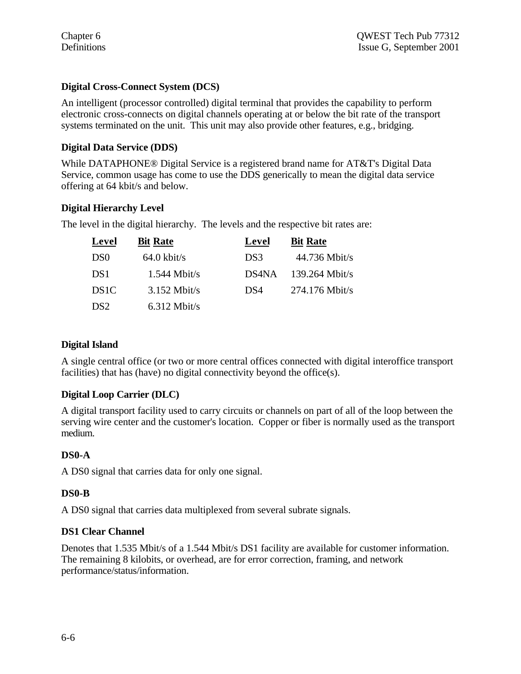# **Digital Cross-Connect System (DCS)**

An intelligent (processor controlled) digital terminal that provides the capability to perform electronic cross-connects on digital channels operating at or below the bit rate of the transport systems terminated on the unit. This unit may also provide other features, e.g., bridging.

# **Digital Data Service (DDS)**

While DATAPHONE® Digital Service is a registered brand name for AT&T's Digital Data Service, common usage has come to use the DDS generically to mean the digital data service offering at 64 kbit/s and below.

# **Digital Hierarchy Level**

The level in the digital hierarchy. The levels and the respective bit rates are:

| Level            | <b>Bit Rate</b>       | Level | <b>Bit Rate</b>  |
|------------------|-----------------------|-------|------------------|
| D <sub>S0</sub>  | $64.0 \text{ kbit/s}$ | DS3   | $44.736$ Mbit/s  |
| DS <sub>1</sub>  | $1.544$ Mbit/s        | DS4NA | $139.264$ Mbit/s |
| DS <sub>1C</sub> | $3.152$ Mbit/s        | DS4   | $274.176$ Mbit/s |
| DS <sub>2</sub>  | $6.312$ Mbit/s        |       |                  |

# **Digital Island**

A single central office (or two or more central offices connected with digital interoffice transport facilities) that has (have) no digital connectivity beyond the office(s).

# **Digital Loop Carrier (DLC)**

A digital transport facility used to carry circuits or channels on part of all of the loop between the serving wire center and the customer's location. Copper or fiber is normally used as the transport medium.

# **DS0-A**

A DS0 signal that carries data for only one signal.

# **DS0-B**

A DS0 signal that carries data multiplexed from several subrate signals.

# **DS1 Clear Channel**

Denotes that 1.535 Mbit/s of a 1.544 Mbit/s DS1 facility are available for customer information. The remaining 8 kilobits, or overhead, are for error correction, framing, and network performance/status/information.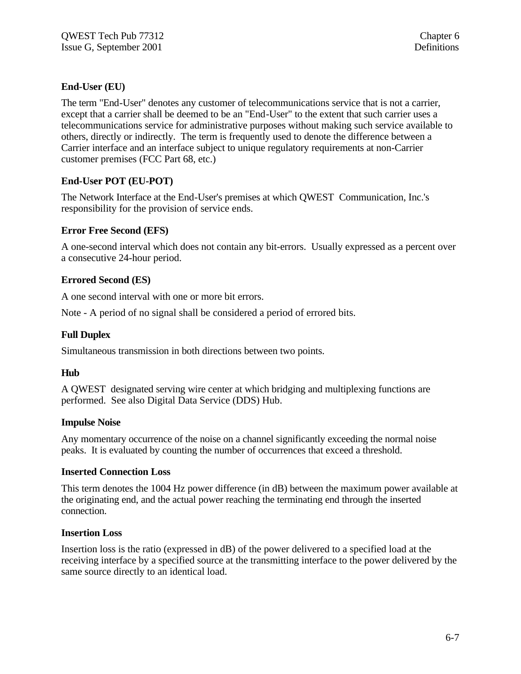# **End-User (EU)**

The term "End-User" denotes any customer of telecommunications service that is not a carrier, except that a carrier shall be deemed to be an "End-User" to the extent that such carrier uses a telecommunications service for administrative purposes without making such service available to others, directly or indirectly. The term is frequently used to denote the difference between a Carrier interface and an interface subject to unique regulatory requirements at non-Carrier customer premises (FCC Part 68, etc.)

# **End-User POT (EU-POT)**

The Network Interface at the End-User's premises at which QWEST Communication, Inc.'s responsibility for the provision of service ends.

# **Error Free Second (EFS)**

A one-second interval which does not contain any bit-errors. Usually expressed as a percent over a consecutive 24-hour period.

# **Errored Second (ES)**

A one second interval with one or more bit errors.

Note - A period of no signal shall be considered a period of errored bits.

# **Full Duplex**

Simultaneous transmission in both directions between two points.

### **Hub**

A QWEST designated serving wire center at which bridging and multiplexing functions are performed. See also Digital Data Service (DDS) Hub.

### **Impulse Noise**

Any momentary occurrence of the noise on a channel significantly exceeding the normal noise peaks. It is evaluated by counting the number of occurrences that exceed a threshold.

### **Inserted Connection Loss**

This term denotes the 1004 Hz power difference (in dB) between the maximum power available at the originating end, and the actual power reaching the terminating end through the inserted connection.

### **Insertion Loss**

Insertion loss is the ratio (expressed in dB) of the power delivered to a specified load at the receiving interface by a specified source at the transmitting interface to the power delivered by the same source directly to an identical load.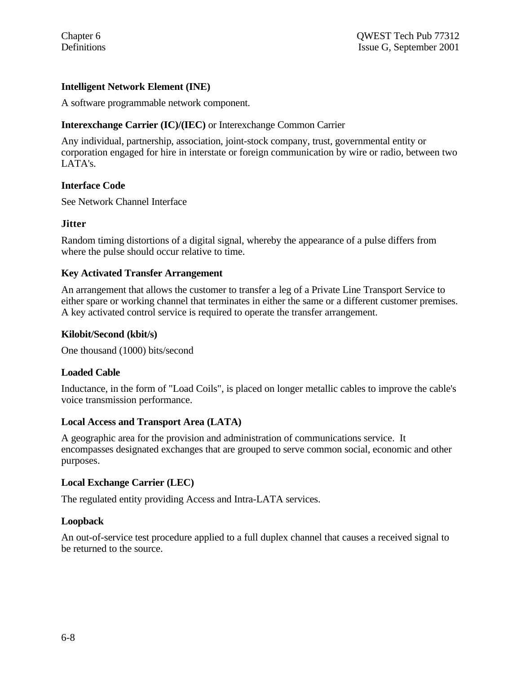# **Intelligent Network Element (INE)**

A software programmable network component.

# **Interexchange Carrier (IC)/(IEC)** or Interexchange Common Carrier

Any individual, partnership, association, joint-stock company, trust, governmental entity or corporation engaged for hire in interstate or foreign communication by wire or radio, between two LATA's.

# **Interface Code**

See Network Channel Interface

# **Jitter**

Random timing distortions of a digital signal, whereby the appearance of a pulse differs from where the pulse should occur relative to time.

# **Key Activated Transfer Arrangement**

An arrangement that allows the customer to transfer a leg of a Private Line Transport Service to either spare or working channel that terminates in either the same or a different customer premises. A key activated control service is required to operate the transfer arrangement.

# **Kilobit/Second (kbit/s)**

One thousand (1000) bits/second

### **Loaded Cable**

Inductance, in the form of "Load Coils", is placed on longer metallic cables to improve the cable's voice transmission performance.

### **Local Access and Transport Area (LATA)**

A geographic area for the provision and administration of communications service. It encompasses designated exchanges that are grouped to serve common social, economic and other purposes.

# **Local Exchange Carrier (LEC)**

The regulated entity providing Access and Intra-LATA services.

### **Loopback**

An out-of-service test procedure applied to a full duplex channel that causes a received signal to be returned to the source.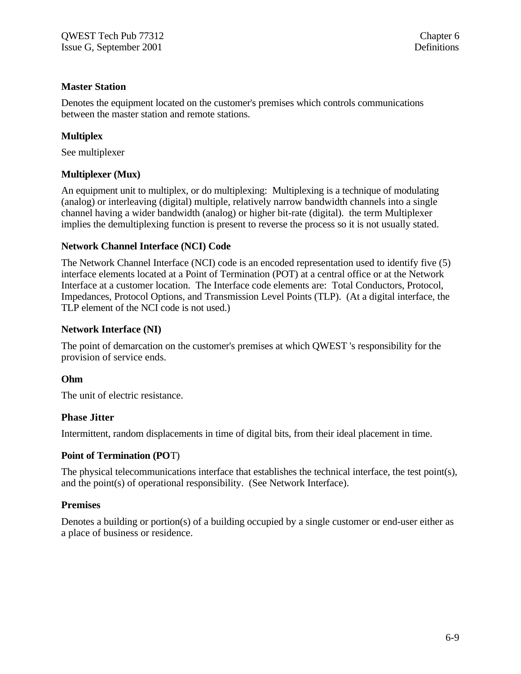# **Master Station**

Denotes the equipment located on the customer's premises which controls communications between the master station and remote stations.

# **Multiplex**

See multiplexer

# **Multiplexer (Mux)**

An equipment unit to multiplex, or do multiplexing: Multiplexing is a technique of modulating (analog) or interleaving (digital) multiple, relatively narrow bandwidth channels into a single channel having a wider bandwidth (analog) or higher bit-rate (digital). the term Multiplexer implies the demultiplexing function is present to reverse the process so it is not usually stated.

### **Network Channel Interface (NCI) Code**

The Network Channel Interface (NCI) code is an encoded representation used to identify five (5) interface elements located at a Point of Termination (POT) at a central office or at the Network Interface at a customer location. The Interface code elements are: Total Conductors, Protocol, Impedances, Protocol Options, and Transmission Level Points (TLP). (At a digital interface, the TLP element of the NCI code is not used.)

### **Network Interface (NI)**

The point of demarcation on the customer's premises at which QWEST 's responsibility for the provision of service ends.

### **Ohm**

The unit of electric resistance.

### **Phase Jitter**

Intermittent, random displacements in time of digital bits, from their ideal placement in time.

### **Point of Termination (PO**T)

The physical telecommunications interface that establishes the technical interface, the test point(s), and the point(s) of operational responsibility. (See Network Interface).

### **Premises**

Denotes a building or portion(s) of a building occupied by a single customer or end-user either as a place of business or residence.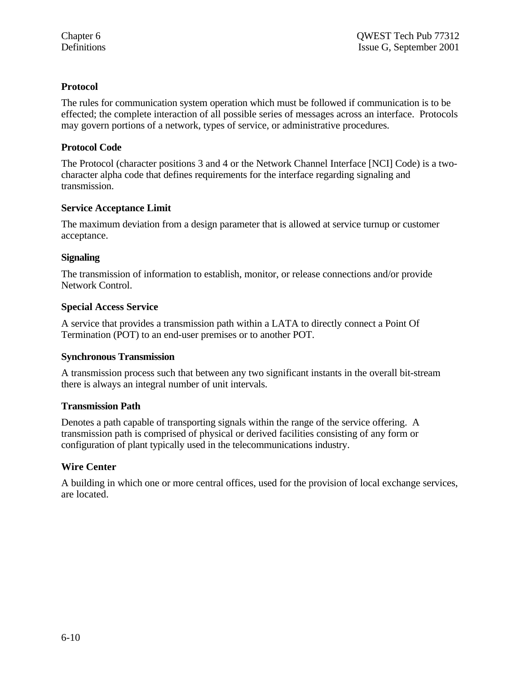# **Protocol**

The rules for communication system operation which must be followed if communication is to be effected; the complete interaction of all possible series of messages across an interface. Protocols may govern portions of a network, types of service, or administrative procedures.

# **Protocol Code**

The Protocol (character positions 3 and 4 or the Network Channel Interface [NCI] Code) is a twocharacter alpha code that defines requirements for the interface regarding signaling and transmission.

# **Service Acceptance Limit**

The maximum deviation from a design parameter that is allowed at service turnup or customer acceptance.

# **Signaling**

The transmission of information to establish, monitor, or release connections and/or provide Network Control.

# **Special Access Service**

A service that provides a transmission path within a LATA to directly connect a Point Of Termination (POT) to an end-user premises or to another POT.

### **Synchronous Transmission**

A transmission process such that between any two significant instants in the overall bit-stream there is always an integral number of unit intervals.

### **Transmission Path**

Denotes a path capable of transporting signals within the range of the service offering. A transmission path is comprised of physical or derived facilities consisting of any form or configuration of plant typically used in the telecommunications industry.

# **Wire Center**

A building in which one or more central offices, used for the provision of local exchange services, are located.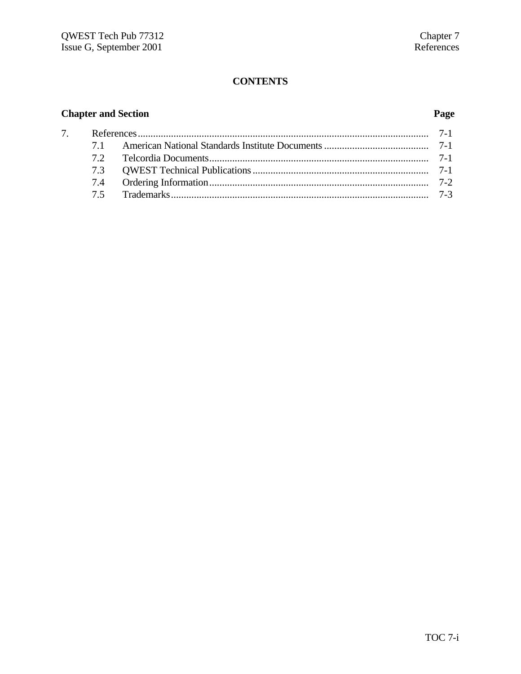# **CONTENTS**

# **Chapter and Section Page**

| 71 |  |  |  |
|----|--|--|--|
|    |  |  |  |
|    |  |  |  |
|    |  |  |  |
|    |  |  |  |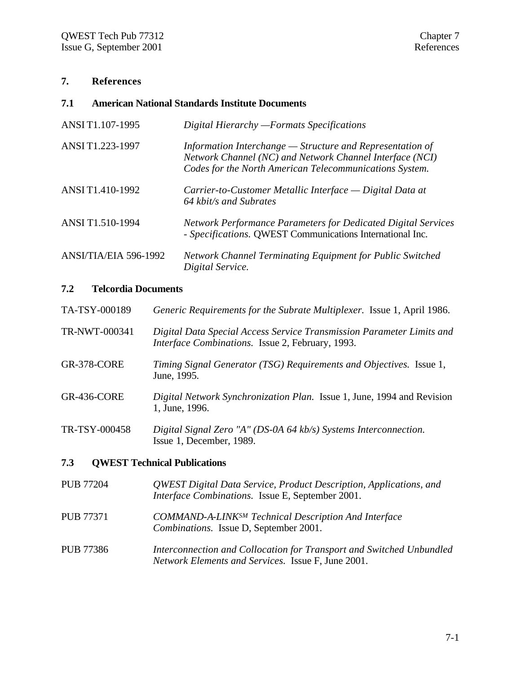# **7. References**

# **7.1 American National Standards Institute Documents**

| ANSI T1.107-1995      | Digital Hierarchy - Formats Specifications                                                                                                                                         |
|-----------------------|------------------------------------------------------------------------------------------------------------------------------------------------------------------------------------|
| ANSI T1.223-1997      | Information Interchange $-$ Structure and Representation of<br>Network Channel (NC) and Network Channel Interface (NCI)<br>Codes for the North American Telecommunications System. |
| ANSI T1.410-1992      | Carrier-to-Customer Metallic Interface — Digital Data at<br>64 kbit/s and Subrates                                                                                                 |
| ANSI T1.510-1994      | <b>Network Performance Parameters for Dedicated Digital Services</b><br>- Specifications. QWEST Communications International Inc.                                                  |
| ANSI/TIA/EIA 596-1992 | <b>Network Channel Terminating Equipment for Public Switched</b><br>Digital Service.                                                                                               |

## **7.2 Telcordia Documents**

| TA-TSY-000189    | Generic Requirements for the Subrate Multiplexer. Issue 1, April 1986.                                                           |
|------------------|----------------------------------------------------------------------------------------------------------------------------------|
| TR-NWT-000341    | Digital Data Special Access Service Transmission Parameter Limits and<br><i>Interface Combinations.</i> Issue 2, February, 1993. |
| GR-378-CORE      | Timing Signal Generator (TSG) Requirements and Objectives. Issue 1,<br>June, 1995.                                               |
| GR-436-CORE      | <i>Digital Network Synchronization Plan.</i> Issue 1, June, 1994 and Revision<br>1, June, 1996.                                  |
| TR-TSY-000458    | Digital Signal Zero "A" (DS-0A 64 kb/s) Systems Interconnection.<br>Issue 1, December, 1989.                                     |
| 7.3              | <b>QWEST Technical Publications</b>                                                                                              |
| <b>PUB 77204</b> | QWEST Digital Data Service, Product Description, Applications, and<br>Interface Combinations. Issue E, September 2001.           |
| <b>PUB 77371</b> | <b>COMMAND-A-LINKSM Technical Description And Interface</b><br>Combinations. Issue D, September 2001.                            |

PUB 77386 *Interconnection and Collocation for Transport and Switched Unbundled Network Elements and Services.* Issue F, June 2001.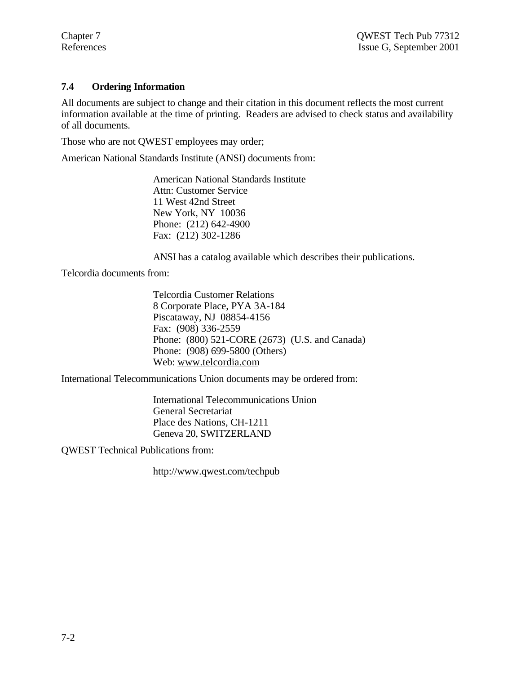# **7.4 Ordering Information**

All documents are subject to change and their citation in this document reflects the most current information available at the time of printing. Readers are advised to check status and availability of all documents.

Those who are not QWEST employees may order;

American National Standards Institute (ANSI) documents from:

American National Standards Institute Attn: Customer Service 11 West 42nd Street New York, NY 10036 Phone: (212) 642-4900 Fax: (212) 302-1286

ANSI has a catalog available which describes their publications.

Telcordia documents from:

Telcordia Customer Relations 8 Corporate Place, PYA 3A-184 Piscataway, NJ 08854-4156 Fax: (908) 336-2559 Phone: (800) 521-CORE (2673) (U.S. and Canada) Phone: (908) 699-5800 (Others) Web: www.telcordia.com

International Telecommunications Union documents may be ordered from:

International Telecommunications Union General Secretariat Place des Nations, CH-1211 Geneva 20, SWITZERLAND

QWEST Technical Publications from:

http://www.qwest.com/techpub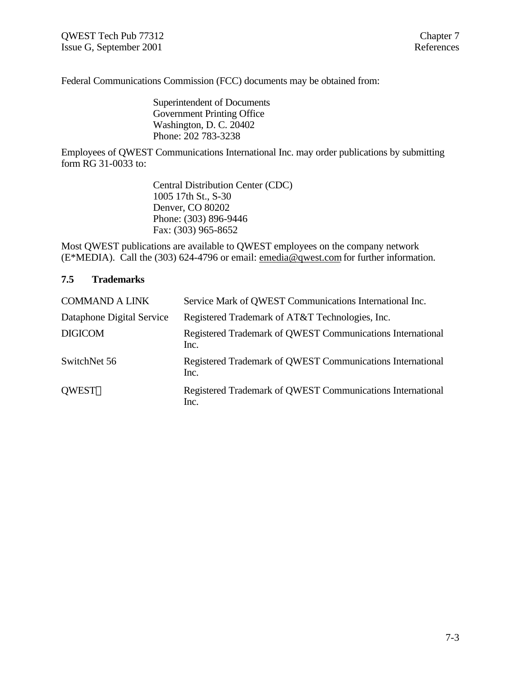Federal Communications Commission (FCC) documents may be obtained from:

Superintendent of Documents Government Printing Office Washington, D. C. 20402 Phone: 202 783-3238

Employees of QWEST Communications International Inc. may order publications by submitting form RG 31-0033 to:

> Central Distribution Center (CDC) 1005 17th St., S-30 Denver, CO 80202 Phone: (303) 896-9446 Fax: (303) 965-8652

Most QWEST publications are available to QWEST employees on the company network (E\*MEDIA). Call the (303) 624-4796 or email: emedia@qwest.com for further information.

### **7.5 Trademarks**

| <b>COMMAND A LINK</b>     | Service Mark of QWEST Communications International Inc.            |
|---------------------------|--------------------------------------------------------------------|
| Dataphone Digital Service | Registered Trademark of AT&T Technologies, Inc.                    |
| <b>DIGICOM</b>            | Registered Trademark of QWEST Communications International<br>Inc. |
| SwitchNet 56              | Registered Trademark of QWEST Communications International<br>Inc. |
| <b>OWEST®</b>             | Registered Trademark of QWEST Communications International<br>Inc. |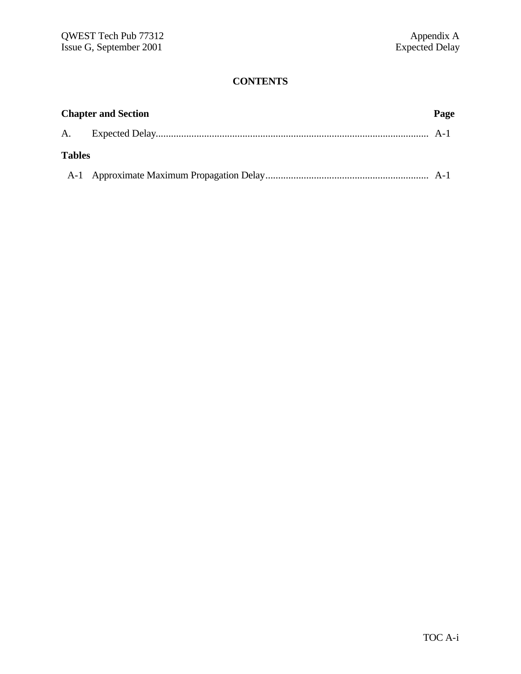# **CONTENTS**

|               | <b>Chapter and Section</b> |  |
|---------------|----------------------------|--|
|               |                            |  |
| <b>Tables</b> |                            |  |
|               |                            |  |